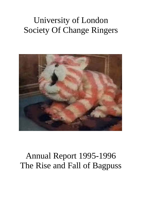# University of London Society Of Change Ringers



# Annual Report 1995-1996 The Rise and Fall of Bagpuss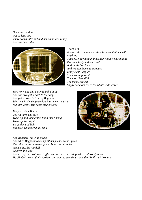*Once upon a time Not so long ago There was a little girl and her name was Emily And she had a shop*



*There it is It was rather an unusual shop because it didn't sell anything You see, everything in that shop window was a thing that somebody had once lost And Emily had found And brought home to Bagpuss Emily's cat Bagpuss The most Important The most Beautiful The most Magical Saggy old cloth cat in the whole wide world*

*Well now, one day Emily found a thing And she brought it back to the shop And put it down in front of Bagpuss Who was in the shop window fast asleep as usual But then Emily said some magic words*

*Bagpuss, dear Bagpuss Old fat furry cat-puss Wake up and look at this thing that I bring Wake up, be bright Be golden and light Bagpuss, Oh hear what I sing*



*And Bagpuss was wide awake And when Bagpuss wakes up all his friends wake up too The mice on the mouse-organ woke up and stretched Madeleine, the rag doll Gabriel, the toad And last of all, Professor Yaffle, who was a very distinguished old woodpecker He climbed down off his bookend and went to see what it was that Emily had brought*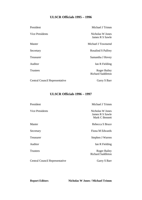# **ULSCR Officials 1995 – 1996**

| President                      | Michael J Trimm                                 |
|--------------------------------|-------------------------------------------------|
| Vice Presidents                | Nicholas W Jones<br>James R S Sawle             |
| Master                         | Michael J Townsend                              |
| Secretary                      | <b>Rosalind S Palfrey</b>                       |
| <b>Treasurer</b>               | Samantha J Hovey                                |
| Auditor                        | Ian R Fielding                                  |
| <b>Trustees</b>                | <b>Roger Bailey</b><br><b>Richard Saddleton</b> |
| Central Council Representative | Garry S Barr                                    |

# **ULSCR Officials 1996 – 1997**

| President                      | Michael J Trimm                                       |
|--------------------------------|-------------------------------------------------------|
| Vice Presidents                | Nicholas W Jones<br>James R S Sawle<br>Mark C Bennett |
| Master                         | Rebecca S Bruce                                       |
| Secretary                      | Fiona M Edwards                                       |
| Treasurer                      | Stephen J Warren                                      |
| Auditor                        | Ian R Fielding                                        |
| <b>Trustees</b>                | <b>Roger Bailey</b><br><b>Richard Saddleton</b>       |
| Central Council Representative | Garry S Barr                                          |

**Report Editors Nicholas W Jones / Michael Trimm**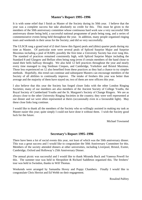# **Master's Report 1995–1996**

It is with some relief that I finish as Master of the Society during its 50th year. I believe that the year was a complete success but take absolutely no credit for this. This must be given to the members of the 50th anniversary committee whose continuous hard work saw a very successful 50th anniversary dinner being held, a successful national programme of peals being rung, and a series of commemorative events being held throughout the year. In addition, many people organised ringing tours and weekends in their areas for the Society; and did so very successfully.

The ULSCR rang a grand total of (I don't know this figure) peals and (ditto) quarter peals during my time as Master. Of particular note were several peals of Spliced Surprise Major and Surprise Maximus including a peal of RABS; possibly the first time a University Society has ever rung this. The standard of practices remained consistently high, with Spliced Surprise Major including the Standard 8 and Glasgow and Belfast often being rung (even if certain members of the band chose to stand their bells halfway through). We also held 12 bell practices throughout the year and nearly every time managed to ring Stedman Cinques, and Cambridge, Yorkshire and Bristol Maximus. Those less experienced on 12 also benefited from these practices as they had a chance to try simpler methods. Hopefully, this trend can continue and subsequent Masters can encourage members of the Society of all abilities to continually improve. The intake of freshers this year was better than average and the majority of them have stayed on; two of them are now officers this year.

I also believe that this year the Society has forged closer links with the other London Ringing Societies; many of our members are also members of the Ancient Society of College Youths, the Royal Society of Cumberland Youths and the St. Margaret's Society of Change Ringers. We are as always close to the other University Ringing Societies in the country; they were well represented at our dinner and we were often represented at theirs (occasionally even in a favourable light). May these close links long continue.

I would like to thank all the members of the Society who so willingly assisted in making my task as Master easier this year; quite simply I could not have done it without them. I wish the Society good luck for the future.

Michael Townsend

# **Secretary's Report 1995–1996**

There have been a lot of social events this year, not least of which was the 50th anniversary dinner. This was a great success and I would like to congratulate the 50th Anniversary Committee for this. Members of the society attended dinners at other universities, including Liverpool, Bristol, Exeter, Cambridge, Oxford and Holloway's 25th Anniversary Dinner.

The annual picnic was successful and I would like to thank Miranda Buck and Vanessa Powell for this. The summer tour was held in Shropshire & Richard Saddleton organised this. The freshers' tour was held in Swindon, thanks to Will Thomas.

Weekends were arranged by Samantha Hovey and Poppy Chambers. Finally I would like to congratulate Chris Herriot and Ed Webb on their engagement.

Rosalind Palfrey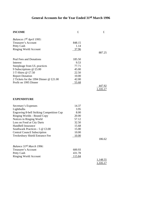# **General Accounts for the Year Ended 31st March 1996**

| <b>INCOME</b>                             | £              | £                  |
|-------------------------------------------|----------------|--------------------|
| Balances 1st April 1995:                  |                |                    |
| Treasurer's Account                       | 848.15         |                    |
| Petty Cash                                | 1.14           |                    |
| <b>Ringing World Account</b>              | 37.96          |                    |
|                                           |                | 887.25             |
| Peal Fees and Donations                   | 185.50         |                    |
| Interest                                  | 9.53           |                    |
| Steepleage from UL practices              | 77.71          |                    |
| 9 Subscriptions $@$ £5.00                 | 45.00          |                    |
| 3 T-Shirts @ £7.50                        | 22.50          |                    |
| <b>Report Donation</b>                    | 10.00          |                    |
| 2 Tickets for the 1994 Dinner @ £21.00    | 42.00          |                    |
| Profit on 1995 Dinner                     | 55.68          |                    |
|                                           |                | 447.92<br>1,335.17 |
| <b>EXPENDITURE</b>                        |                |                    |
| Secretary's Expenses                      | 14.37          |                    |
| Lightbulbs                                | 3.95           |                    |
| Engraving 8-bell Striking Competition Cup | 8.00           |                    |
| Ringing Worlds - Bound Copy               | 20.00          |                    |
| Notices in Ringing World                  | 57.12          |                    |
| Loss on Food at City Darts                | 32.50          |                    |
| Handbell Insurance                        | 15.68          |                    |
| Southwark Practices - 5 @ £3.00           | 15.00          |                    |
| <b>Central Council Subscription</b>       | 10.00          |                    |
| Tewkesbury Shield Entrance Fee            | <u>10.00</u>   |                    |
|                                           |                | 186.62             |
| Balance 31st March 1996:                  |                |                    |
| <b>Treasurer's Account</b>                | 600.93         |                    |
| Petty Cash                                | 431.78         |                    |
| <b>Ringing World Account</b>              | <u> 115.84</u> |                    |
|                                           |                | 1,148.55           |
|                                           |                | 1,335.17           |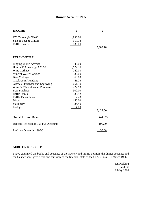# **Dinner Account 1995**

| <b>INCOME</b>                         | £        | f        |
|---------------------------------------|----------|----------|
| 170 Tickets @ £29.00                  | 4,930.00 |          |
| Sale of Beer & Glasses                | 317.18   |          |
| Raffle Income                         | 136.00   |          |
|                                       |          | 5,383.18 |
| <b>EXPENDITURE</b>                    |          |          |
| <b>Ringing World Adverts</b>          | 40.00    |          |
| Hotel - 173 meals @ £20.95            | 3,624.35 |          |
| Wine Corkage                          | 240.00   |          |
| Mineral Water Corkage                 | 30.00    |          |
| <b>Beer Corkage</b>                   | 60.00    |          |
| <b>Cloakroom Attendant</b>            | 41.25    |          |
| Glasses - Purchase and Engraving      | 651.30   |          |
| Wine & Mineral Water Purchase         | 224.19   |          |
| <b>Beer Purchase</b>                  | 300.00   |          |
| <b>Raffle Prizes</b>                  | 35.52    |          |
| <b>Raffle Ticket Book</b>             | 2.49     |          |
| Disco                                 | 150.00   |          |
| Stationery                            | 24.40    |          |
| Postage                               | 4.00     |          |
|                                       |          | 5,427.50 |
| <b>Overall Loss on Dinner</b>         |          | (44.32)  |
| Deposit Reflected in 1994/95 Accounts |          | 100.00   |
| Profit on Dinner in 1995/6            |          | 55.68    |

# **AUDITOR'S REPORT**

I have examined the books and accounts of the Society and, in my opinion, the dinner accounts and the balance sheet give a true and fair view of the financial state of the ULSCR as at 31 March 1996.

> Ian Fielding Auditor 9 May 1996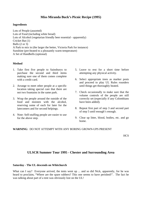# **Miss Miranda Buck's Picnic Recipe (1995)**

# **Ingredients**

Lots of People (assorted) Lots of Food (including white bread) Lots of Alcohol (vegetarian friendly beer essential - apparently) Cricket Bat (1) Balls (2 or 3) A Park to mix in (the larger the better, Victoria Park for instance) Sunshine (pre-heated to a pleasantly warm temperature) A Set of Handbells (optional)

# **Method**

- 1. Take first five people to Sainsburys to purchase the second and third items making sure one of them comes complete with a credit card.
- 2. Arrange to meet other people at a specific location taking special care that there are not two fountains in the same park.
- 3. Wrap the people around the outside of the food and moisten with the alcohol, reserving some of each for later for the latecomers and for second helpings.
- 4. Note: Self-stuffing people are easier to use for the above step.
- 5. Leave to rest for a short time before attempting any physical activity.
- 6. Select appropriate trees as marker posts and proceed to play UL Rules rounders until things get thoroughly heated.
- 7. Check occasionally to make sure that the volume controls of the people are still correctly set (especially if any Colombians have been added).
- 8. Repeat first part of step 3 and second part of step 5 until enough's enough.
- 9. Clear up litter, blood, bodies, etc. and go home.

# **WARNING**: DO NOT ATTEMPT WITH ANY BORING GROWN-UPS PRESENT

**HCS** 

# **ULSCR Summer Tour 1995 - Chester and Surrounding Area**

# **Saturday - The UL descends on Whitchurch**

What can I say? Everyone arrived, the tents went up ... and so did Nick, apparently, for he was heard to proclaim, "Where are the spare rubbers? This one seems to have perished!". The fact he was talking about part of a tent was obviously lost on the UL!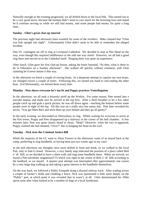Naturally enough as the evening progressed, we all drifted down to the local Pub. This turned out to be a very good move, because the barman didn't seem to care much for the licensing laws and stated he'd continue serving us while we still had money, and some people had money for quite a long time...

# **Sunday - Glint's great chat-up tutorial**

The previous night had obviously been eventful for some of the revellers. Mike claimed that "Glint was bolt upright last night". Unfortunately Glint didn't seem to be able to remember the alleged incident.

One UL contingent set off to ring at Liverpool Cathedral. We decided to stop at Pier Head on the way, even though this required indifference to the odd one way street! However, we all had a good ring there and moved on to the Cathedral itself. Ringing there was quite an experience.

After lunch, Glint gave his first chat-up lesson, asking the busty barmaid, "So then, what is there to do in Ellesmere on a Sunday afternoon". She walked off quickly without comment, with Glint claiming he'd never meant it that way.

In the afternoon we hired a couple of rowing boats. In a desperate attempt to capsize our own boats, we changed rowers a couple of times. Following this, we turned our hand to ram-raiding the other boat. (Un?)fortunately, we missed them every time.

# **Monday - Pete shows everyone he's too fit and Poppy practices Ventriloquism**

In the afternoon, we all took a leisurely stroll up the Wrekin. For some reason, Pete turned into a suicidal maniac and made sure he arrived at the top first. After a short breather to let a few other people catch up and grab a quick picture, he was off down again - reaching the bottom before some people were in sight of the top. All this was on a really nice hot sunny day. Pete later revealed his secret, "You get Mars Bars and stick them up your helmet and they go all gooey!"

In the early evening, we descended on Shrewsbury to ring. Whilst waiting for everyone to arrive at the first tower, Poppy and Pete disappeared up a stairway in the corner of the bell chamber. A few minutes later, Pete was quite clearly heard to shout, "Help!" However, when the two re-appeared, Poppy claimed she had shouted, "Oww!" due to banging her head on the roof.

# **Tuesday - Nick tests the Criminal Justice Bill**

While the majority of the UL went to Alton Towers in the afternoon, some of us stayed back at the camp, preferring to ring handbells, or having been just two weeks ago in my case!

In the mid afternoon our thoughts once more drifted to food and drink, so we walked to the local Pub, only to find it closed. However, a very handy map indicated the position of a place called Bell o' th' Hill, so we decided to have a short walk and ring some handbells there. When we arrived, we found a Pub (alcoholic magnetism???) which was right in the centre of Bell o' th' Hill according to the landlord, so we stayed. A quarter peal attempt was interrupted after approximately one course by a very large dog walking up and taking a great interest in the handbells themselves.

On the way back, we followed a Public Footpath along a disused railway track. After wading across a couple of farmer's fields and climbing a fence, Nick was questioned a little more deeply on the "Public" part, at which point it was revealed that in wasn't, at all. Glint demonstrated his 100m sprint soon after when barked at by a number of dogs in a local farmhouse.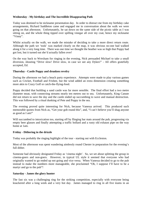# **Wednesday - My birthday and The Incredible Disappearing Path**

Today was destined to be nickname presentation day. In order to distract me from my birthday cake arrangements, Richard Saddleton came and engaged me in conversation about the walk we were going on that afternoon. Unfortunately, he sat down on the same side of the picnic table as I was sitting on, and the whole thing tipped over spilling vinegar all over my coat, hence my nickname "Vinny".

Whilst actually on the walk, we made the mistake of deciding to take a more direct return route. Although the path we 'took' was marked clearly on the map, it was obvious no-one had walked along it for a very long time. There was one time we thought the heather was so high that Poppy had got lost, but it turned out she'd actually fallen over!

On the way back to Wrexham for ringing in the evening, Nick persuaded Michael to take a small diversion, shouting "Drive slow! Drive slow, in case we see any Dykes!" - All offers gratefully accepted, Ed.

# **Thursday - Castle Poppy and drunken revelry**

During the afternoon we had a beach party experience. Attempts were made to play various games such as Cricket, Football and Frisbee, but the wind added an extra dimension creating something more akin to Crazy Golf or catch-the-flying-food.

Poppy decided that building a sand castle was far more sensible. The final effort had a two metre diameter moat, with connecting streams nearly ten metres out to sea. Unfortunately, King Canute did not return to save the day and the castle ended up succumbing to wave and manual destruction. This was followed by a ritual dunking of Pete and Poppy in the sea.

The evening proved quite interesting for Nick, because Vanessa arrived. This produced such memorable quotes from Nick as, "Get your gob round this", and, "I can't believe you'll shag anyone as good as I am!"

Will succumbed to intoxication too, starting off by flinging bar mats around the pub, progressing via empty beer glasses and finally attempting a traffic bollard and a rusty old exhaust pipe on the way home at 1am.

# **Friday - Dithering in the drizzle**

Today was probably the ringing highlight of the tour - starting out with Eccleston.

Most of the afternoon was spent wandering aimlessly round Chester in preparation for the evening's full dither.

Someone had obviously designated Friday as 'cinema night'. So, we set about splitting the group in cinema-goers and non-goers. However, in typical UL style it seemed that everyone who had originally wanted to go ended up not going and vice versa. When Vanessa decided to go to the pub instead to make the numbers more manageable, she proclaimed "Oh, I suppose I'll have to be a martyr and go to the pub"!

# **Saturday - James the glory hunter**

The fast six was a challenging ring for the striking competition, especially with everyone being knackered after a long week and a very hot day. James managed to ring in all five teams in an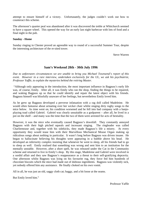attempt to ensure himself of a victory. Unfortunately, the judges couldn't work out how to counteract this scheme.

The afternoon's quarter peal was abandoned after it was discovered the treble at Whitchurch seemed to have a square wheel. This opened the way for an early last night barbecue with lots of food and a final night in the pub.

# **Sunday - Home**

Sunday ringing in Chester proved an agreeable way to round of a successful Summer Tour, despite the interesting architecture of the re-sited tower.

Steve Warren

# **Sam's Weekend 28th - 30th July 1996**

*Due to unforeseen circumstances we are unable to bring you Michael Townsend's report of this event. However in a rare interview, undertaken exclusively for the UL, we ask his psychiatrist, Professor Yaffle, to explain the mysteries behind the retiring Master.*

 "Although only appearing in the introduction, the most important influence in Bagpuss's early life was, of course, Emily. After all, it was Emily who ran the shop, finding the things to be repaired, and waking Bagpuss up so that he could identify and repair the latest object with his friends. Bagpuss himself was blissfully unaware of her feelings, but nevertheless Emily loved him.

As he grew up Bagpuss developed a perverse infatuation with a rag doll called Madeleine. He would often fantasise about urinating over her wicker chair whilst singing dirty rugby songs to the mice below. As time went on, his condition worsened and he fell into bad company with a banjoplaying toad called Gabriel. Gabriel was clearly unsuitable as a godparent – after all, he lived in a pot on the shelf – and many was the time that the two of them were arrested for acts of bestiality.

However, it was the mice who eventually caused Bagpuss's downfall. They constantly annoyed Bagpuss with their high pitched squeals and incessant singing. The ringleader was called Charliemouse and, together with his sidekicks, they made Bagpuss's life a misery. At every opportunity they would tease him with their Marvellous Mechanical Mouse Organ making up ridiculous songs about nothing in particular. It wasn't long before Bagpuss was driven insane. He began to hallucinate believing his thoughts were appearing in a bubble above his head. He developed an inferiority complex insisting that whenever he went to sleep, all his friends had to go to sleep as well. Emily realised that something was wrong and sent him to an institution for the mentally unstable. However, after a short spell, he was released under the Cat in the Community scheme and returned to live in Emily's shop. By this stage, Madeleine and Gabriel were involved in a sordid affair and they saw Bagpuss's reappearance as a threat to their self-gratifying depravity. One afternoon whilst Bagpuss was lying on his favourite rug, they force fed him hundreds of chocolate biscuits which the mice had made out of dubious ingredients. Bagpuss was violently sick, yet nobody offered him any assistance. He finally choked on his own vomit.

All in all, he was just an old, saggy cloth cat; baggy, and a bit loose at the seams.

But Emily loved him."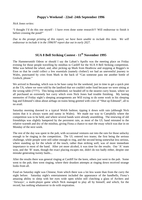# **Poppy's Weekend - 22nd -24th September 1996**

*Nick Jones writes:*

"I thought I'd do this one myself - I have even done some research!!! Will endeavour to finish it before crossing the pond!"

Due to the prompt printing of this report, we have been unable to include this item. We will *endeavour to include it in the 1996/97 report due out in early 2027.*

# **SUA 8 Bell Striking Contest - 11th November 1995**

The Hammersmith Odeon or should I say the Labatt's Apollo was the meeting place on Friday evening for those people travelling by minibus to Cardiff for the SUA 8 Bell Striking competition. Mike was behind the wheel, and, after picking up Mark from Heathrow and stopping at Reggie's in Eton so that he could collect a few essentials (namely clothes!) we had an uneventful journey to Wales, punctuated by cries from Mark in the back of "Can someone pass me another bottle of Grolsch, please."

We arrived in Bassaleg, which was to be base camp for the weekend, just in time to get a quick pint at the TA, where we were told by the landlord that we couldn't order food because we were sitting at the wrong table (???!!). This being established, we headed off to the nearest curry house, where we all purchased an extremely hot curry which even Nick Jones had trouble finishing. My lasting memories of Friday night's sleeping arrangements are Will trying to do some work in his sleeping bag and Edmund's ideas about airbags on trains being greeted with cries of "Shut up Edmund", all to no avail.

Saturday morning dawned in a typical Welsh fashion; tipping it down with rain (although Nick insists that it is always warm and sunny in Wales). We made our way to Caerphilly where the competition was to be held, and where several bands were already assembling. The renewing of old friendships was slightly hampered by the persistent rain, as most of the UL band retreated to the relative warmth and dry of the minibus, giving Fiona a chance to start the essay which was due in on Monday of the next week.

The rest of the day was spent in the pub, with occasional ventures out into the rain for those unlucky enough to be ringing in the competition. The UL entered two teams; the first being the serious challenge, while people were still sober enough to ring, and the second being somewhat less serious, where standing up for the whole of the touch, rather than striking well, was of more immediate importance to most of the band. After yet more alcohol, it was time for the results. Our 'A' team won, and the 'B' team, though the exact placing escapes me, didn't do too badly either, despite one mistake generating twenty faults...

After the results there was general ringing at Cardiff for the keen, others just went to the pub. Some went to the pub, then went ringing, where their drunken attempts at ringing down received strange looks from all.

Food on Saturday night was Chinese, from which there was a lot less waste than from the curry the night before. Saturday night's entertainment included the appearance of the handbells, Fiona's amazing ability to sleep with her eyes wide open whilst still clutching a glass of Archers and 'Airways', a multi-player game which Nick managed to play all by himself, and which, for the record, has nothing whatsoever to do with respiration.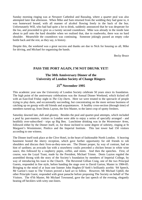Sunday morning ringing was at Newport Cathedral and Bassaleg, where a quarter peal was also attempted later that afternoon. When Mike and Sam returned from the wedding they had gone to, it was homeward bound, with all manner of alcohol flowing freely in the back of the bus. Unfortunately Will, who had had quite a lot to drink, suddenly announced that he was desperate for the loo, and proceeded to give us a twenty second countdown. Mike was already in the inside lane about to pull onto the hard shoulder when we realised that, due to roadworks, there was no hard shoulder. Meanwhile the countdown was continuing. Someone jokingly passed an empty coke bottle back and the rest, as they say, is history.

Despite this, the weekend was a great success and thanks are due to Nick for housing us all, Mike for driving, and Michael for organising the bands.

Becky Bruce

# **PASS THE PORT AGAIN, I'M NOT DRUNK YET!**

# **The 50th Anniversary Dinner of the University of London Society of Change Ringers**

# **25th November 1995**

This academic year saw the University of London Society celebrate 50 years since its foundation. The high point of the anniversary celebrations was the Annual Dinner Weekend, which kicked off with an East-End Friday night in *The City Darts*. Here we were treated to the spectacle of people trying to play darts, and occasionally succeeding, but concentrating on the more serious business of catching up on gossip with old friends and acquaintances. A healthy cross-section (through time) of members turned up, from Denis Layton, the first Master, to the latest crop of spotty freshers.

Saturday dawned late, dull and gloomy. Besides the peal and quarter-peal attempts, which included a peal by past-masters, visitors to London were able to enjoy a series of specially arranged - and healthily over-subscribed - trips up Big Ben. Lunchtime drinking was in the *Westminster Arms*, followed either by the Dinner itself, or, for those inclined to some degree of sobriety, ringing at St Margaret's Westminster, Pimlico and the Imperial Institute. This last tower had 150 visitors according to one witness.

The Dinner itself took place at the Clive Hotel, in the heart of fashionable North London. A heaving basement hosted the sherry reception, which gave further opportunity for old friends to rub shoulders and discuss their lives-as-they-now-are. The Dinner proper, by way of contrast, had no hint of sardines; an avocado fan with a strawberry coulis preceded a chicken breast in white wine sauce, this followed by a raspberry pepin, coffee, and mints. And then the speeches. First, of course, was the Loyal Toast, made by the President, Michael Trimm. Denis Layton regaled the assembled throng with the story of the Society's foundation by members of Imperial College, by way of introducing his toast to the Church. The Reverend Gillian Craig, one of the two Principal Guests, responded in fine style, before handing the stage over to David Garton, Master in 1984-85. Bringing to the mind of at least one listener John Hughes-D'Aeth's brilliantly acerbic '84 Speech, Mr Garton's toast to The Visitors proved a hard act to follow. However, Mr Michael Uphill, the other Principle Guest, responded with great panache before proposing The Society on behalf of The Visitors. The 47th Master, Mr Michael Townsend, gave the last speech of the evening, elegantly beating off hecklers with witty one-liners.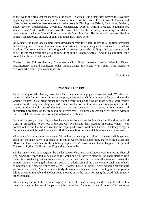In the event, the highlight for many was the disco - in which Blur's "Parklife" proved the favourite singalong number - and drinking until the early-hours. For the record, 170 sat down to Dinner, and fifteen other universities were represented: Aberystwyth, Birmingham, Bristol, Cambridge, Durham, Essex, Exeter, Huddersfield, Liverpool, Manchester, Oxford, Oxford Brookes, Southampton, Warwick and York. Will Thomas won the sweepstake, for the second year running, and debate continues as to whether Simon Linford caught his 6am flight from Heathrow. My own recollection is that it looked pretty unlikely at 2am, but others may know better.

On Sunday, the lucky ones simply came downstairs from their hotel rooms to a limitless breakfast and no hangover. Others, I gather, were less fortunate, being consigned to various floors in East London. The Autumn General Meeting need not concern us overly. Killingly dull, as meetings tend to be - it was the perfect excuse to go for a drink in the *Founder's Arms*. And, at closing-time, nine hours later, the weekend finished.

Thanks to the 50th Anniversary Committee - Chris Gould (awarded Special Prize for Dinner Organisation), Richard Saddleton, Mike Trimm, James Sawle and Nick Jones. And thanks to everyone who came - you made it possible.

Nick Green

# **Freshers' Tour 1996**

Early morning on 20th January saw about 15 UL members congregate at Wanborough, Wiltshire for the start of the freshers' tour. Some of the party were feeling slightly the worse for wear due to the College Youths' guest night dinner the night before, but on the whole most people were chirpy considering the early start they had had. First problem of the tour was who was going to run the ringing at this church, one of the few that has both a spire and a tower, as our master had encountered problems on the train and not arrived yet. This problem was quickly resolved without much of a UL dither and we proceeded to Swindon, St Mark's.

Some of the party arrived slightly late here due to the map reader ignoring the direction the local went in, proceeding to get lost in the one way system and then pleading innocence when it was pointed out to him that he was reading the map upside down; well done David. One thing to say in his defence though is he did not get lost finding the pub for lunch which is where we stopped next.

After being fed and watered we went to Wroughton, a heavy ground floor six, where a slight splinter group left the main party to go back to the pub to watch the England rugby match being played that afternoon. I was a member of the splinter group so I don't know much of what happened at Lydiard Tregoze or Lydiard Millicent, but England won the rugby.

All the ringers were back together by the last tower which was Cricklade, a very interesting chancel ring, where the ropes fall very close to the walls and you have to stand in the choir stalls to ring them, this provided great amusement to those that had been in the pub all afternoon. After the compulsory early evening drinking at a pub in Cricklade some of the band went to catch a train back to London, while others went to stay at Will Thomas' house in Purton. After dropping off our stuff we went to a pub in Purton, where a fairly drunken evening was spent. Ending with one person falling asleep in the pub and another being moaned at by the locals for using the word fuck in every other sentence.

After joining the locals for service ringing at Purton the next morning, another church with both a tower and a spire, the rest of the party caught a train from Swindon back to London. Our thanks go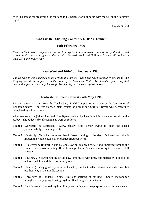to Will Thomas for organising the tour and to his parents for putting up with the UL on the Saturday night.

Reggie Gillard

# **SUA Six-Bell Striking Contest & RHBNC Dinner**

# **10th February 1996**

*Miranda Buck wrote a report on this event but by the time it arrived it was too warped and twisted to read and so was consigned to the dustbin. We wish the* Royal Holloway Society *all the best in their 25th anniversary year.*

# **Peal Weekend 16th-18th February 1996**

*The ex-Master was supposed to be writing this article. The peals were eventually sent up* to The Ringing World *and appeared in the issue of 15 November 1996. The handbell peal rung that weekend appeared on a page by itself! For details, see the peal reports below.*

# **Tewkesbury Shield Contest - 4th May 1996**

For the second year in a row, the Tewkesbury Shield Competition was won by the University of London Society. The test piece, a plain course of Cambridge Surprise Royal was successfully completed by all the teams.

After evensong, the judges Alex and Nina Byrne, assisted by Tina Stoecklin, gave their results in the Abbey. The Judges' (brief) comments were as follows:

- **Team 1** (Worcester & Districts). Slow, steady beat. Tenor trying to push the speed (unsuccessfully). Leading erratic.
- **Team 2** (Hereford). Very inexperienced band, fastest ringing of the day. Did well to make it through the whole course after practice fired out twice.
- **Team 3** (Gloucester & Bristol). Cautious and slow but mainly accurate and improved through the course. Handstrokes coming off the front a problem. Somehow never quite lived up to full potential.
- **Team 4** (Coventry). Slowest ringing of the day. Improved with time, but marred by a couple of method mistakes and the tenor failing to set.
- **Team 5** (Lichfield). Very good rhythm established by the back bells. Started and ended well but lost their way in the middle section.
- **Team 6** (University of London). Some excellent sections of striking. Speed metronomic throughout. Easy going flowing rhythm. Band rang well as a team.
- **Team 7** (Bath & Wells). Lacked rhythm. Everyone ringing at cross-purposes and different speeds.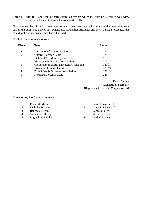**Tame 8** (Oxford). Rang with a tightly controlled rhythm which the front bells worked well with. Confident and accurate – sounded used to the bells.

Only one member of the UL team was present to hear that they had won again, the other nine were still in the pub! The Mayor of Tewkesbury, Councillor Aldridge, and Mrs Aldridge, presented the shield to the winners once they had all arrived.

The full results were as follows:

| <b>Place</b> | <b>Team</b>                               | <b>Faults</b>                  |
|--------------|-------------------------------------------|--------------------------------|
|              | University of London Society              | 76                             |
| っ            | <b>Oxford Diocesan Guild</b>              | 78                             |
| 3            | Lichfield Archdeaconry Society            | 110                            |
| 4            | Worcester & Districts Association         | $116 \n\tilde{\triangleright}$ |
|              | Gloucester & Bristol Diocesan Association | $127 \rightarrow$              |
| 6            | <b>Coventry Diocesan Guild</b>            | $129 \square$                  |
|              | Bath & Wells Diocesan Association         | $151 \n\Box$                   |
|              | <b>Hereford Diocesan Guild</b>            | 243                            |
|              |                                           |                                |

David Bagley Competition Secretary (Reproduced from *The Ringing World*)

# **The winning band was as follows:**

- 1 Fiona M Edwards
- 2 Nicholas W Jones
- 3 Rebecca S Bruce
- 4 Samantha J Hovey
- 5 Reginald D P Gillard
- 6 David J Baverstock
- 7 James R S Sawle (C)
- 8 Vanessa Powell
- 9 Michael J Trimm
- 10 Mark C Bennett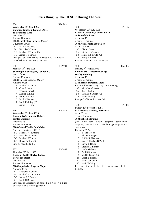# **Peals Rung By The ULSCR During The Year**

934. RW 769 Wednesday 14<sup>th</sup> June 1995 **Clapham Junction, London SW11, 18 Bramfield Road** tenor size 15 2 hours 31 minutes **5152 Lincolnshire Surprise Major** C Kenneth Lewis 1-2 Mark C Bennett 3-4 Nicholas W Jones 5-6 Michael J Trimm (C) 7-8 James R S Sawle First peal of Lincolnshire in hand: 1-2, 7-8. First of Lincolnshire on a working pair: 3-4. 935. RW 791 Monday 19<sup>th</sup> June 1995 **St Botolph, Bishopsgate, London EC2** tenor 17 cwt 3 hours 35 minutes **5152 Majestic Surprise Major** Anthony J Cox 1 Michael J Trimm 2 Clare J Larter 3 Vanessa Powell 4 Dickon R Love 5 Philip H Larter 6 Mark C Bennett 7 Ian R Fielding (C) 8 James R S Sawle 936. RW 819 Wednesday 28<sup>th</sup> June 1995 **London SW7, Imperial College, Huxley Building** tenor size 15 2 hours 23 minutes **5088 Oxford Treble Bob Major** Andrew J Corrigan (CCC 31) 1-2 Michael J Townsend 3-4 Nicholas W Jones 5-6 Michael J Trimm 7-8 Roger Bailey (C) First on handlbells: 1-2 937. RW 887 Thursday 20<sup>th</sup> July 1995 **London E1, 308 Marlyn Lodge, Portsoken Street** tenor size 15 2 hours 27 minutes **5184 Superlative Surprise Major** Anthony J Cox 1-2 Nicholas W Jones 3-4 Michael J Trimm (C) 5-6 James R S Sawle 7-8 Mark C Bennett First peal of Superlative in hand: 1-2, 5-6 & 7-8. First of Surprise on a working pair: 5-6.

| 938.                                                                      | RW 1107        |
|---------------------------------------------------------------------------|----------------|
| Wednesday 26 <sup>th</sup> July 1995                                      |                |
| <b>Clapham Junction, London SW11</b>                                      |                |
| <b>18 Bramfield Road</b>                                                  |                |
| tenor size 15                                                             |                |
| 2 hours 35 minutes                                                        |                |
| 5088 Kent Treble Bob Major                                                |                |
| Alan T Winter                                                             |                |
| 1-2 Clare J Larter                                                        |                |
| 3-4 Nicholas W Jones                                                      |                |
| 5-6 James R S Sawle (C)                                                   |                |
| 7-8 Philip H Larter                                                       |                |
| First as conductor on an inside pair.                                     |                |
| 939.                                                                      | <b>RW 962</b>  |
| Monday 7 <sup>th</sup> August 1995                                        |                |
| <b>London SW7, Imperial College</b>                                       |                |
| <b>Huxley Building</b>                                                    |                |
| tenor size 15                                                             |                |
| 2 hours 25 minutes                                                        |                |
| 5248 Bristol Surprise Major                                               |                |
| Roger Baldwin (Arranged by Ian R Fielding)                                |                |
| 1-2 Nicholas W Jones                                                      |                |
| 3-4 Roger Bailey                                                          |                |
| 5-6 Michael J Trimm (C)                                                   |                |
| 7-8 Ian R Fielding                                                        |                |
| First peal of Bristol in hand 7-8.                                        |                |
|                                                                           |                |
| 940.                                                                      | <b>RW 1080</b> |
| Sunday 10 <sup>th</sup> September 1995                                    |                |
| <b>St Laurence, Reading, Berkshire</b>                                    |                |
| tenor 23 cwt                                                              |                |
| 3 hours 7 minutes                                                         |                |
| <b>5088 Spliced Maximus</b>                                               |                |
| (4m: 1296 each Bristol Surprise, Strathclyde                              |                |
| Surprise; 1248 each Avon Delight, Rigel Surprise; 82                      |                |
| com, atw)                                                                 |                |
| Roderick W Pipe<br>E Jane Sibson                                          |                |
| 1                                                                         |                |
|                                                                           |                |
| $\overline{c}$<br>Alison K Regan                                          |                |
| 3<br>Phillip R J Barnes                                                   |                |
| John N Hughes-D'Aeth<br>4                                                 |                |
| 5<br>David E House                                                        |                |
| 6<br>Graham G Firman                                                      |                |
| $7\overline{ }$<br>Linda M Garton                                         |                |
| 8<br>Paul S Seaman                                                        |                |
| 9.<br>Ian Roulstone (C)<br>Derek E Sibson<br>10                           |                |
| 11 -                                                                      |                |
| Ian G Campbell<br>12                                                      |                |
| Ian R Fielding                                                            |                |
| In connection with the 50 <sup>th</sup><br>anniversary of the<br>Society. |                |
|                                                                           |                |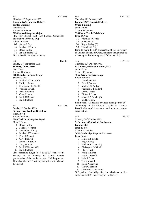941. RW 1082 Monday 11<sup>th</sup> September 1995 **London SW7, Imperial College, Huxley Building** tenor size 15 2 hours 27 minutes **5024 Spliced Surprise Major** (4m: 1184 Bristol, 1280 each London, Cambridge, Superlative; 109 com, atw) Albert J Pitman 1-2 Simon J Gay 3-4 Michael J Trimm 5-6 Roger Bailey 7-8 Ian R Fielding (C) First spliced in hand as conductor.

942. RW 40 Sunday 17<sup>th</sup> September 1995 **St Mary, Ilford, Essex** tenor 7 cwt 2 hours 51 minutes **5088 London Surprise Major** Stephen J Ivin 1 Michael J Trimm (C) 2 Philip H Larter 3 Christopher M Gould

- 4 Vanessa Powell
- 5 Peter J Bennett
- 6 Clare J Larter
- 7 Mark C Bennett
- 8 Ian R Fielding

943. RW 1152

Sunday 1<sup>st</sup> October 1995 **St Laurence, Reading, Berkshire**

tenor 23 cwt 3 hours 4 minutes

**5040 Yorkshire Surprise Royal**

Mark C Bennett

- 1 Roger Bailey
- 2 Michael J Trimm
- 3 Samantha J Hovey
- 4 Michael J Townsend
- 5 Peter J Bennett
- 6 Clive Buswell
- 7 James R S Sawle
- 8 Terry M Astill
- 9 Mark C Bennett (C)
- 10 Ian R Fielding

First Yorkshire Royal: 3, 4 & 5;  $50<sup>th</sup>$  peal for the Society: 9. In memory of Maisie Panton, grandmother of the conductor, who died the previous Thursday; also a  $21<sup>st</sup>$  birthday compliment to Michael Townsend.

Thursday 12<sup>th</sup> October 1995 **London SW7, Imperial College, Union Building** tenor size 15 2 hours 19 minutes **5248 Kent Treble Bob Major** Brian D Price 1-2 Nicholas W Jones 3-4 Stuart M Cox 5-6 Roger Bailey (C) 7-8 Timothy G Pett Rung to mark the  $50<sup>th</sup>$  anniversary of the University of London Society of Change Ringers, inaugurated at a meeting in this building on  $12<sup>th</sup>$  October 1945. 945. RW 1180 Thursday 12<sup>th</sup> October 1995 **St Andrew, Holborn, London, EC1** tenor 18 cwt 3 hours 18 minutes **5056 Bristol Surprise Major**

- Roger Baldwin
	- 1 Timothy G Pett
	- 2 Peter J Bennett
	- 3 Michael G Purday
	- 4 Reginald D P Gillard
	- 5 Clare J Larter
	- 6 Dickon R Love
	- 7 James R S Sawle (C)
	- 8 Ian R Fielding

First Bristol: 4. Specially arranged  $&$  rung on the 50<sup>th</sup> anniversary of the ULSCR. Thanks to Vanessa Powell who stood down as a result of over zealous organisation.

### 946. RW 40

Saturday 28<sup>th</sup> October 1995 **St Saviour's Cathedral, Southwark, London SE1** tenor 48 cwt 3 hours 47 minutes **5042 Cambridge Surprise Maximus** Peter Border 1 James R S Sawle 2 Roger Bailey 3 Michael J Trimm (C) 4 Christopher M Gould 5 Clare J Larter

- 6 Philip H Larter
- 7 Vanessa Powell
- 8 Julia R Cater
- 9 Terry M Astill
- 10 Brian P Diserens
- 11 Mark C Bennett
- 12 Christopher J Pickford

50<sup>th</sup> peal of Cambridge Surprise Maximus on the bells. For the  $50<sup>th</sup>$  anniversary of the Society.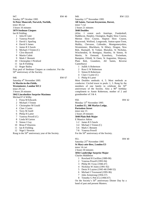Sunday 29<sup>th</sup> October 1995 **St Peter Mancroft, Norwich, Norfolk,**

tenor 38 cwt

3 hours 16 minutes

# **5079 Stedman Cinques**

Ian R Fielding

- 1 Julia R Cater
- 2 Vanessa Powell
- 3 David L Sparling
- 4 David S James
- 5 James R S Sawle
- 6 Michael J Trimm (C)
- 7 Clive Buswell
- 8 Martin Cubitt
- 9 Mark C Bennett
- 10 Christopher J Pickford
- 11 Ian R Fielding
- 12 Roger Bailey

First peal of Stedman Cinques as conductor. For the 50<sup>th</sup> anniversary of the Society.

948. RW 67

Saturday 4<sup>th</sup> November 1995 **St Martin-in-the-Fields, Westminster, London WC2** tenor 29 cwt 3 hours 26 minutes **5042 Lincolnshire Surprise Maximus** Michael P A Wilby 1 Fiona M Edwards

- 2 Michael J Trimm
- 3 Christopher M Gould
- 4 Clare J Larter
- 5 Terry M Astill
- 6 Philip H Larter
- 7 Vanessa Powell (C)
- 8 Linda M Garton
- 9 Simon J Gay
- 10 Brian P Diserens
- 11 Ian R Fielding
- 12 Nigel J Newton

Rung in the 50<sup>th</sup> anniversary year of the Society.

# Saturday 11<sup>th</sup> November 1995

# **All Saints, Tarrant Keyneston, Dorset,**

tenor 7 cwt 2 hours 21 minutes

**5040 Doubles**

(42m: 1 extent each Antelope, Fundenhall, Haddiscoe, Harpley, Ossington, Rugby Slow Course, Merton Slow Course, Slapton Slow Course, Braywood, Welford, Longworth, Sutton-upon-Trent, Maltby, Chevasse, Callender, Montgomeryshire, Westminster, Blackburn, St Hilary, Dragon, New Bob, Huntspill, St Vedast, Blaisdon, St Nicholas, Winchendon, St Remigius, Huntley, St Simon, St Martin, St Osmund, Eynesbury, Twineham, Bampton, Fifield, St Ouen, St Augustine, Shipway, Plain Bob, Grandsire, All Saints, Reverse Canterbury)

- 1 Judith A Robertson
- 2 Ross G W Robertson
- 3 Simon R Robertson
- 4 Clare J Larter (C)
- 5 Philip H Larter

Most Doubles methods: 4, 5. Most methods as conductor. Circled tower to peals: 1, 3. Rung by the members of one family to celebrate the  $50<sup>th</sup>$ anniversary of the Society. Also a 90<sup>th</sup> birthday compliment to Annie Robertson, mother of 2 and grandmother of 3 & 4.

950. RW 42 Monday 13<sup>th</sup> November 1995 **London E1, 308 Marlyn Lodge, Portsoken Street** tenor size 15 2 hours 29 minutes **5040 Plain Bob Major** E Maurice Atkins 1-2 James R S Sawle 3-4 Michael J Trimm (C)

- 5-6 Mark C Bennett
- 7-8 Vanessa Powell

For the 50<sup>th</sup> anniversary of the Society.

951. RW 40

# Saturday 25<sup>th</sup> November 1995 **St Mary-atte-Bow, London E3** tenor 14 cwt

2 hours 50 minutes

# **5056 Cambridge Surprise Major**

Charles Middleton

- 1 Rowland H Gwillim (1989-90)
- 2 Vanessa Powell (1993-94)
- 3 Philip M J Gray (1946-47)
- 4 Nicholas W Jones (1991-92)
- 5 Denis N Layton (1945-46/1948-52)
- 6 Michael J Townsend (1995-96)
- 7 John Armstrong (1956-57)
- 8 Timothy G Pett (C) (1966-67)

On the Society's  $50<sup>th</sup>$  anniversary Dinner Day by a band of past and present Masters.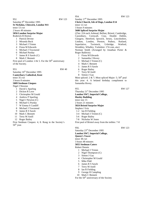### 952. RW 123 Saturday 9<sup>th</sup> December 1995 **St Nicholas, Chiswick, London W4** tenor 13 cwt 2 hours 49 minutes **5056 London Surprise Major** Roderick R Horton 1 Patrick Devine

- 2 Miranda Buck
- 3 Michael J Trimm
- 4 Fiona M Edwards
- 5 Michael J Townsend
- 6 Michael Purday
- 7 James R S Sawle (C)
- 8 Mark C Bennett

First peal of London: 4 & 5. For the  $50<sup>th</sup>$  anniversary of the Society.

953. RW 40

Saturday 16<sup>th</sup> December 1995 **Canterbury Cathedral, Kent** tenor 35 cwt

3 hours 8 minutes

# **5009 Stedman Cinques**

# Nigel J Newton

- 1 David L Sparling
- 2 Dickon R Love
- 3 Christopher M Gould
- 4 Andrew P Sparling
- 5 Nigel J Newton (C)
- 6 Michael G Purday
- 7 W Emma S Cundiff
- 8 Michael J Townsend
- 9 James R S Sawle
- 10 Mark C Bennett
- 11 Terry M Astill
- 12 Roger Bailey

First Stedman Cinques: 4, 8. Rung in the Society's  $50<sup>th</sup>$  year.

954. RW 123 Sunday 17<sup>th</sup> December 1995 **Christ Church, Isle of Dogs, London E14** tenor 12 cwt 3 hours 9 minutes **5600 Spliced Surprise Major**

(25m: 224 each Ashtead, Belfast, Bristol, Cambridge, Cassiobury, Cornwall, Cray, Double Dublin, Glasgow, Hereford, Ipswich, Jersey, Lincolnshire, Lindum, London, Preston, Pudsey, Rutland, Superlative, Tavistock, Uxbridge, Watford, Wembley, Whalley, Yorkshire: 174 com, atw) Norman Smith (Arranged by Jonathan Porter & Roger Baldwin)

- 1 Fiona M Edwards
- 2 Samantha J Hovey
- 3 Michael J Trimm (C)
- 4 Mark C Bennett
- 5 James R S Sawle
- 6 Roger Bailey
- 7 Terry M Astill
- 8 Simon J Gay

Most spliced:  $2 \& 7$ ; Most spliced Major: 5;  $50<sup>th</sup>$  peal this year: 4. A belated birthday compliment to Samantha Hovey.

#### 955. RW 127

Thursday 21<sup>st</sup> December 1995 **London SW7, Imperial College, Huxley Building** tenor size 15 2 hours 21 minutes **5024 Bristol Surprise Major** Stephen J Ivin 1-2 Ian R Fielding 3-4 Michael J Trimm (C) 5-6 Roger Bailey 7-8 Nicholas W Jones First peal of Bristol away from the trebles: 7-8

956. RW 123

- Saturday 23rd December 1995 **London SW7, Imperial College, Queen's Tower** tenor 38 cwt 3 hours 48 minutes **5055 Stedman Caters** Robert Dennis 1 Michael J Trimm 2 Nigel Thompson (C) 3 Simon J Gay
	- 4 Christopher M Gould
	- 5 Mike Pidd
	- 6 James R S Sawle
	- 7 Terry M Astill
	- 8 Ian R Fielding
	- 9 George H Campling
	- 10 Mark C Bennett

For the 50<sup>th</sup> anniversary of the Society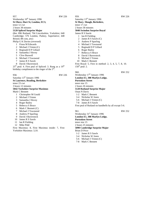957. RW 226 Wednesday 10<sup>th</sup> January 1996 **St Olave, Hart St, London, EC3,** tenor 12 cwt 2 hours 38 minutes **5120 Spliced Surprise Major** (8m: 896 Rutland; 704 Lincolnshire, Yorkshire; 640 Cambridge; 576 London, Pudsey, Superlative; 448 Bristol; 88 com, atw) Philip G K Davies (reversed) 1 Fiona M Edwards 2 Michael J Trimm (C) 3 Reginald D P Gillard 4 Samantha J Hovey 5 Clive Buswell 6 Michael J Townsend 7 James R S Sawle 8 David J Baverstock  $25<sup>th</sup>$  peal: 4. First peal of Spliced: 3. Rung as a  $19<sup>th</sup>$ birthday compliment to the ringer of the  $3<sup>rd</sup>$ . 958. RW 226 Saturday 13<sup>th</sup> January 1996 **St Laurence, Reading, Berkshire** tenor 23 cwt 3 hours 12 minutes **5042 Yorkshire Surprise Maximus** Mark C Bennett

- 1 Christopher M Gould
- 2 Michael J Trimm
- 3 Samantha J Hovey
- 4 Roger Bailey
- 5 Rebecca S Bruce
- 6 Mark C Bennett (C)
- 7 Michael J Townsend
- 8 Andrew P Sparling
- 9 David J Baverstock
- 10 James R S Sawle
- 11 Ian R Fielding
- 12 Mike Pidd

First Maximus: 8, First Maximus inside: 7, First Yorkshire Maximus: 3,10.

# Saturday 13<sup>th</sup> January 1996 **St Mary**, **Slough, Berkshire,** tenor 17 cwt 2 hours 58 minutes

**5040 Swindon Surprise Royal**

#### James R S Sawle 1 Ian R Fielding

- 2 James R S Sawle (C)
- 3 Andrew P Sparling
- 4 Michael J Townsend
- 5 Reginald D P Gillard
- 6 Roger Bailey
- 7 Rebecca S Bruce
- 8 David J Baverstock
- 9 Michael J Trimm
- 10 Mark C Bennett
- First Royal: 5, First in method: 2, 3, 4, 5, 7, 8, 10.
- $150<sup>th</sup>$  peal: 2.

Wednesday 17<sup>th</sup> January 1996 **London E1, 308 Marlyn Lodge, Portsoken Street** tenor size 15

2 hours 26 minutes

### **5120 Rutland Surprise Major**

Onan N Davis

- 1-2 Mark C Bennett
- 3-4 Nicholas W Jones
- 5-6 Michael J Trimm (C)
- 7-8 James R S Sawle

First peal of Rutland on handbells by all except 5-6.

#### 961. RW 252

Wednesday 31<sup>st</sup> January 1996 **London E1, 308 Marlyn Lodge, Portsoken Street**

tenor size 15

2 hours 25 minutes

**5090 Cambridge Surprise Major**

Brian D Price

- 1-2 James R S Sawle
- 3-4 Nicholas W Jones
- 5-6 Michael J Trimm (C)
- 7-8 Mark C Bennett

### 960. RW 252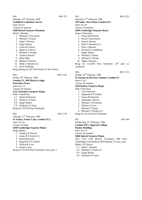962. RW 275 Saturday 10<sup>th</sup> February 1996 **Guildford Cathedral, Surrey** tenor 30 cwt 3 hours 25 minutes **5040 Bristol Surprise Maximus** Mark C Bennett 1 Michael J Townsend 2 Michael J Trimm 3 Nigel J Newton 4 Roger Bailey 5 Linda M Garton 6 Rebecca S Bruce 7 Michael G Purday 8 Vanessa Powell 9 Mike Pidd 10 Philip R J Barnes 11 Mark C Bennett (C) 12 Ian R Fielding Rung during the  $50<sup>th</sup>$  anniversary of the Society. 963. RW 1155

| ,,,,                                    | 11 11 11 J J |
|-----------------------------------------|--------------|
| Friday 16 <sup>th</sup> February 1996   |              |
| London E1, 308 Marlyn Lodge,            |              |
| <b>Portsoken Street</b>                 |              |
| tenor size 15                           |              |
| 2 hours 20 minutes                      |              |
| 5152 Yorkshire Surprise Major           |              |
| Peter J Sanderson                       |              |
| 1-2 Sheila Dickinson                    |              |
| 3-4 Michael J Trimm                     |              |
| 5-6 Roger Bailey                        |              |
| 7-8 Nicholas W Jones                    |              |
| Rung for ULSCR Peal Weekend.            |              |
|                                         |              |
| 964.                                    | RW 1153      |
| Saturday 17 <sup>th</sup> February 1996 |              |
| St Vedast, Foster Lane, London EC2,     |              |
| tenor 16 cwt                            |              |
|                                         |              |

2 hours 54 mins **5040 Cambridge Surprise Minor**

Roger Bailey

- 1 Stephen R Warren
- 2 James R S Sawle (C)
- 3 Ruth Blackwell
- 4 Reginald D P Gillard
- 5 Dickon R Love
- 6 Simon J Gay

Rung for ULSCR Peal Weekend. First peal: 1

965. RW 1153 Saturday 17<sup>th</sup> February 1996 **All Saints, West Ham, London E15** tenor 26 cwt 3 hours 10 minutes **5040 Cambridge Surprise Royal** James Clatworthy 1 Fiona M Edwards 2 David J Baverstock 3 Patrick Devine 4 Mark C Bennett (C) 5 Peter J Bennett 6 Richard S J Saddleton 7 Roger Bailey 8 Michael J Trimm 9 Michael G Purday 10 Nigel J Newton Rung for ULSCR Peal Weekend. 25<sup>th</sup> peal as conductor. 966. RW 1153 Sunday 18<sup>th</sup> February 1996 **St George-in-the-East, Stepney, London E1** tenor 6 cwt 2 hours 45 minutes **5024 Pudsey Surprise Major** John S Warboys 1 Clive Buswell 2 Reginald D P Gillard 3 Fiona M Edwards 4 Samantha J Hovey 5 Michael J Townsend 6 Dickon R Love 7 Michael J Trimm

8 Michael G Purday (C)

Rung for ULSCR Peal Weekend

Wednesday 21<sup>st</sup> February 1996 **London SW7, Imperial College, Huxley Building** tenor size 15 2 hours 20 minutes **5088 Spliced Surprise Major** (5m: 1152 each Bristol, Yorkshire; 960 each Cambridge, Lincolnshire; 864 Rutland; 74 com, atw) Philip G K Davies 1-2 Mark C Bennett 3-4 Michael J Trimm (C) 5-6 Roger Bailey

7-8 Nicholas W Jones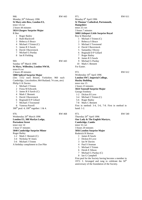968. RW 443 Monday 26<sup>th</sup> February 1996 **St Mary-atte-Bow, London E3,** tenor 14 cwt 2 hours 44 minutes **5024 Glasgow Surprise Major**

#### R Bee

- 1 Roger Bailey
- 2 Ruth Blackwell
- 3 Rebecca S Bruce
- 4 Michael J Trimm (C)
- 5 James R S Sawle
- 6 David J Baverstock
- 7 Michael G Purday
- 8 Ian R Fielding

969. RW 443

Sunday 10<sup>th</sup> March 1996 **St Mary, Willesden, London NW10,**

tenor 8 cwt

2 hours 49 minutes

### **5088 Spliced Surprise Major**

(5m: 1152 each Bristol, Yorkshire; 960 each Cambridge, Lincolnshire; 864 Rutland; 74 com, atw) Philip G K Davies

- 1 Michael J Trimm
- 2 Fiona M Edwards
- 3 James R S Sawle (C)
- 4 Mark C Bennett
- 5 David J Baverstock
- 6 Reginald D P Gillard
- 7 Michael J Townsend
- 8 Vanessa Powell

 $300^{th}$  peal: 4;  $100^{th}$  together: 1 & 4.

970. RW 468

Wednesday 20<sup>th</sup> March 1996 **London E1, 308 Marlyn Lodge, Portsoken Street** tenor size 14 1 hour 57 minutes **5040 Cambridge Surprise Minor** Roger Bailey 1-2 Mark C Bennett (C) 3-4 Nicholas W Jones 5-6 Michael J Trimm

A birthday compliment to Zoe Pike

Monday 8<sup>th</sup> April 1996 **St Thomas' Cathedral, Portsmouth, Hampshire** tenor 25 cwt 3 hours 7 minutes **5088 Littleport Little Surprise Royal** Roy le Marechal 1 Michael J Trimm (C) 2 Rebecca S Bruce 3 Michael J Townsend 4 David J Baverstock 5 Samantha J Hovey

- 6 Reginald D P Gillard
- 7 Roger Bailey
- 8 James R S Sawle
- 9 Michael G Purday
- 10 Mark C Bennett
- For Easter.

Wednesday 10<sup>th</sup> April 1996 **London SW7, Imperial College, Huxley Building** tenor size 15 2 hours 23 minutes **5024 Tunstall Surprise Major** George Freebrey 1-2 Dickon R Love 3-4 Michael J Trimm (C) 5-6 Roger Bailey 7-8 Mark C Bennett First in method: 3-4, 5-6, 7-8. First in method in

hand: 1-2.

# 973. RW 540

Thursday 26<sup>th</sup> April 1996 **Our Lady & The English Martyrs, Cambridge, Cambs** tenor 32 cwt 3 hours 20 minutes **5056 London Surprise Major** Roderick R Horton 1 James R Sawle 2 Dickon R Love 3 Ian W Davies 4 Paul S Seaman

- 5 Michael J Trimm
- 6 Derek E Sibson
- 7 Michael G Purday (C)
- 8 Ian G Campbell

First peal for the Society having become a member in 1972: 3. Arranged and rung to celebrate the  $50<sup>th</sup>$ anniversary of the foundation of the Society.

972. RW 612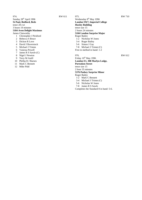974. RW 611 Sunday 28<sup>th</sup> April 1996 **St Paul, Bedford, Beds** tenor 28 cwt 3 hours 19 minutes **5184 Avon Delight Maximus** James Clatworthy

- 1 Christopher J Pickford
- 2 Rebecca S Bruce
- 3 Dickon R Love
- 4 David J Baverstock
- 5 Michael J Trimm
- 6 Vanessa Powell
- 7 James R S Sawle (C)
- 8 Nigel J Newton
- 9 Terry M Astill
- 10 Phillip R J Barnes
- 11 Mark C Bennett
- 12 Mike Pidd

975. RW 710 Wednesday 8<sup>th</sup> May 1996 **London SW7, Imperial College Huxley Building** tenor size 15 2 hours 24 minutes **5184 London Surprise Major** Roger Bailey 1-2 Nicholas W Jones 3-4 Roger Bailey 5-6 Simon J Gay 7-8 Michael J Trimm (C) First in method in hand: 1-2

Friday 10<sup>th</sup> May 1996 **London E1, 308 Marlyn Lodge, Portsoken Street** tenor size 15 2 hour 35 minutes **5376 Pudsey Surprise Minor** Roger Bailey 1-2 Mark C Bennett 3-4 Michael J Trimm (C) 5-6 Nicholas W Jones 7-8 James R S Sawle Completes the Standard 8 in hand: 5-6.

976. RW 612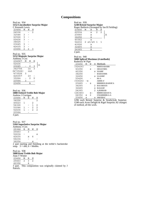# **Compositions**

#### Peal no. 934 **5152 Lincolnshire Surprise Major** C Kenneth Lewis 23456 M W H

| 24536 |   |   | 2 |
|-------|---|---|---|
| 32546 | 3 |   |   |
| 43526 | 3 |   |   |
| 52436 | 3 |   |   |
| 34625 |   |   |   |
| 23645 | 3 |   |   |
| 42635 | 3 |   |   |
| 23456 | 2 | 2 | ٦ |

#### Peal no. 935 **5152 Majestic Surprise Major** Anthony J Cox

| . 7      |   |     |   |   |  |
|----------|---|-----|---|---|--|
| 234567   | М | W   | Η |   |  |
| 52436    |   |     |   |   |  |
| 23645    |   | 2   | 3 | А |  |
| 342756   |   | in  | 3 |   |  |
| (473526) |   | out |   |   |  |
| 473526   | 3 |     |   |   |  |
| 426357   |   | iv  |   |   |  |
| 35264    |   | 2   | 2 |   |  |
| 23564    | 3 |     |   |   |  |
| 23456    |   |     |   |   |  |

### Peal no. 936 **5088 Oxford Treble Bob Major** Andrew J Corrigan

| 23456   | м  |                | H              |
|---------|----|----------------|----------------|
| 34256   |    |                | 2              |
| 45623   | 1. | 2              |                |
| 54326   |    | 1              | 2              |
| 53246   | 1  | $\mathfrak{D}$ | $\mathfrak{D}$ |
| 52436   | 1  | $\mathfrak{D}$ | $\mathcal{D}$  |
| 23564   |    |                |                |
| 3 part. |    |                |                |

### Peal no. 937 **5184 Superlative Surprise Major** Anthony J Cox 25364 B M W H 25463 3

 $52634 - S$ <br>42635 s 6 42635 56234 - -  $36254$  s

2 part starting and finishing at the treble's backstroke snap.  $3 =$ sbb,  $6 =$ bbsbbs.

#### Peal no. 938 **5088 Kent Treble Bob Major** Alan T Winter  $\frac{23456}{25463}$   $\frac{M}{2}$   $\frac{B}{3}$   $\frac{H}{2}$ 25463 2 3 2

42356 4 \_\_\_\_\_\_\_\_\_\_\_\_\_\_

3 part. This composition was originally claimed by J Patrick.

| Peal no. 939<br>5248 Bristol Surprise Major |   |             |   |                  |  |  |
|---------------------------------------------|---|-------------|---|------------------|--|--|
| Roger Baldwin (Arranged by Ian R Fielding)  |   |             |   |                  |  |  |
| 23456                                       | M | В           | W | Н                |  |  |
| 62534                                       |   | $\mathbf x$ | 2 | $\overline{a}$ 2 |  |  |
| 23645                                       |   | X           |   |                  |  |  |
| 34256                                       |   | x           |   |                  |  |  |
| 45362                                       |   | X           |   |                  |  |  |
| 54632                                       |   | $2$ s3/s5 1 |   | $\overline{1}$   |  |  |
| 43526                                       |   | х           |   |                  |  |  |
| 32465                                       |   | x           |   |                  |  |  |
| 24365                                       |   | А           |   |                  |  |  |
| 2 part.                                     |   |             |   |                  |  |  |

#### Peal no. 940 **5088 Spliced Maximus (4 methods)** Roderick W Pipe

| 23456   | М   | W                        | H | Methods                |
|---------|-----|--------------------------|---|------------------------|
| (52436) |     | $\overline{\phantom{0}}$ |   | RBRSSABABB.            |
| 43256   |     | S                        |   | SRSAS'BRS.             |
| 42356   |     |                          | S | SSABB'                 |
| 34256   |     |                          |   | BABASSRB-              |
| 32456   |     |                          | S | SAASRR'                |
| 53426   |     |                          |   | BS∙A                   |
| (53624) | - s |                          |   | ARRB·A'                |
| 23465   |     | S                        |   | <b>BBRBRSS-RARSR'A</b> |
| 34265   |     |                          | 2 | BAS-BBASS-             |
| 32465   |     |                          | S | RASASR'                |
| 24365   |     |                          | 2 | A,RSRRAR.              |
| (26345) |     | $S -$                    |   | RBRRSABASS'A.          |
| 64352   | S   | 2                        |   | S'BABRRBB:A:A          |
| 23456   | S   |                          | S | SRB'BRA'               |

1296 each Bristol Surprise & Strathclyde Surprise; 1248 each Avon Delight & Rigel Surprise; 82 changes of method, all the work.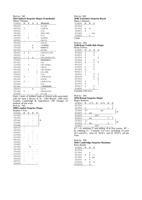| 5024 Spliced Surprise Major (4 methods) |                 |                |     |                          |                                                       |  |  |  |
|-----------------------------------------|-----------------|----------------|-----|--------------------------|-------------------------------------------------------|--|--|--|
|                                         | Albert J Pitman |                |     |                          |                                                       |  |  |  |
| 23456                                   | М               | M              | В   | Η                        | Methods                                               |  |  |  |
| 45236                                   |                 |                |     | $\overline{\phantom{0}}$ | LC-CSC-                                               |  |  |  |
| 24536                                   | 3               |                |     |                          | $L \cdot B \cdot B \cdot SL \cdot$                    |  |  |  |
| 54632                                   |                 |                |     |                          | L·CL                                                  |  |  |  |
| 36245                                   |                 |                |     |                          | SSS-C-SSS                                             |  |  |  |
| 24365                                   |                 |                |     |                          | LC·L·                                                 |  |  |  |
| 32465                                   |                 | 3              |     |                          | $LS \cdot B \cdot B \cdot L$                          |  |  |  |
| 42563                                   |                 |                |     |                          | <b>CSC-CL</b>                                         |  |  |  |
| 35264                                   |                 |                |     |                          | CSL-SL-                                               |  |  |  |
| 35642                                   |                 |                | X   |                          | $CS$ ·BBBB·                                           |  |  |  |
| 35426                                   |                 |                | X   |                          | BBBB.SC.                                              |  |  |  |
| 42356                                   |                 |                |     |                          | LS.CSC.                                               |  |  |  |
| 25463                                   | 2               | $\overline{2}$ |     |                          | L-B-LLLLL-B-L                                         |  |  |  |
| 34562                                   |                 |                |     |                          | L.SL.                                                 |  |  |  |
| 46532                                   | $\overline{a}$  | 2              | X   |                          | CSC-S-B-SLC-SC-                                       |  |  |  |
| 53462                                   |                 | $\overline{a}$ |     |                          | <b>BBBBBBB</b> -L-                                    |  |  |  |
| 45362                                   |                 |                |     |                          | LCL                                                   |  |  |  |
| 23564                                   |                 | 3              |     |                          | CSC·S·B·B·L·                                          |  |  |  |
| 52364                                   |                 |                |     | -                        | <b>CSCCL-</b>                                         |  |  |  |
| 43265                                   |                 | 3              |     | -                        | CSC·S·B·B·L·                                          |  |  |  |
| 64235                                   |                 |                |     | 3                        | LS·L·B·B·                                             |  |  |  |
| 52436                                   |                 |                |     | -                        | $L-SL$                                                |  |  |  |
| 43526                                   | 3               |                |     |                          | L-B-B-S-CSC-                                          |  |  |  |
| 54326                                   |                 |                |     | -                        | LCCSC-                                                |  |  |  |
| 32546                                   | 3               |                |     |                          | L-B-B-S-CSC-                                          |  |  |  |
| 53246                                   |                 |                |     |                          | LCL·                                                  |  |  |  |
| 62345                                   |                 |                |     |                          | L-BBBBBBB-                                            |  |  |  |
| 24653                                   |                 |                | X   |                          | $CS\text{-}CS$                                        |  |  |  |
| 25346                                   | 2               |                |     |                          | SSS-B-S-CSC-                                          |  |  |  |
| 23456                                   |                 |                |     | 2                        | LC·L·B·                                               |  |  |  |
| $\sim$ $\sim$ $\sim$                    |                 | $C_{\perp}$    | 1 1 | 1 <sub>1</sub>           | $c_{\mathbf{D}}$ .<br>$\cdot$ .<br>×.<br>$\mathbf{I}$ |  |  |  |

Peal no. 941

Omit 2 pairs of bobbed leads of Bristol with associated calls (ie omit 2 blocks of 3). 1184 Bristol, 1280 each London, Cambridge & Superlative; 109 changes of method, all the work.

#### Peal no. 942 **5088 London Surprise Major** Stephen I Ivin

| әкерікін ә түші |   |   |   |   |   |
|-----------------|---|---|---|---|---|
| 23456           | М | В | W | Η |   |
| 42356           |   |   |   |   |   |
| 34256           |   |   |   |   |   |
| 25346           |   |   |   |   | А |
| 32546           |   |   |   |   |   |
| 53246           |   |   |   |   |   |
| 42635           |   |   |   |   |   |
| 36524           |   |   |   |   |   |
| 25463           |   |   |   |   |   |
| 23564           |   |   |   |   |   |
| 52364           |   |   |   |   |   |
| 54263           |   |   |   |   |   |
| 34562           |   |   |   |   |   |
| 32465           |   |   |   |   |   |
| 62345           |   | Α |   |   |   |
| 54326           |   |   |   |   |   |
| 35426           |   |   |   |   |   |
| 43526           |   |   |   |   |   |
| 25634           |   |   |   |   |   |
| 36452           |   |   |   |   |   |
| 24653           |   |   |   |   |   |
| 23456           |   |   |   |   |   |

### Peal no 943 **5040 Yorkshire Surprise Royal** Mark C Bennett 23456 M W H

| 23420   | 1VI |   |    |
|---------|-----|---|----|
| 42356   |     |   |    |
| 52364   | S   | S |    |
| 34265   | s   |   |    |
| 63245   |     |   | SS |
| 23465   |     | 2 |    |
| 2 part. |     |   |    |

### Peal no. 944 **5248 Kent Treble Bob Major**

| Brian D Price |                     |   |                |                |  |  |  |  |
|---------------|---------------------|---|----------------|----------------|--|--|--|--|
| 23456         | М                   | В | W              | Η              |  |  |  |  |
| 35264         | 2                   |   | 2              |                |  |  |  |  |
| 62453         | $\overline{2}$      |   | $\overline{2}$ |                |  |  |  |  |
| 26354         | $\overline{2}$      |   |                | 2              |  |  |  |  |
| 52364         | $\mathbf{1}$        |   | 2              |                |  |  |  |  |
| 24365         | 2                   |   | $\mathbf{1}$   | 2              |  |  |  |  |
| 46325         |                     |   | $\overline{c}$ |                |  |  |  |  |
| 23564         | 2                   |   | $\overline{2}$ |                |  |  |  |  |
| 36245         | $\overline{2}$      |   | $\overline{2}$ |                |  |  |  |  |
| 64523         | $\mathfrak{D}$      |   |                |                |  |  |  |  |
| 34256         | $\mathbf{1}$        |   | 2              | 1              |  |  |  |  |
| 24536         |                     |   | $\overline{2}$ | 1              |  |  |  |  |
| 25346         |                     |   | 1              | $\overline{2}$ |  |  |  |  |
| 63542         | 1                   |   |                | $\mathbf{1}$   |  |  |  |  |
| 62345         | $\overline{2}$      |   |                | 1              |  |  |  |  |
| 45623         | 2                   |   | ı.             |                |  |  |  |  |
| 23456         |                     |   | 2              |                |  |  |  |  |
|               | Contains 144 cru's. |   |                |                |  |  |  |  |

Peal no. 945

# **5056 Bristol Surprise Major**

| Roger Baldwin |      |     |              |     |   |   |   |
|---------------|------|-----|--------------|-----|---|---|---|
| 23456         | М    | 3/5 | $\mathbf{B}$ | 5/4 | W | Η |   |
| 42356         |      |     |              |     |   | 1 |   |
| 26354         | 2    |     |              |     | 1 | 2 |   |
| 32546         | $2*$ |     |              | SS  |   |   |   |
| 43265         | 1    | SS  |              |     |   |   |   |
| 24365         |      |     | $2A*$        |     |   |   |   |
| 43652         |      | SS  |              |     |   |   |   |
| 35264         | $2+$ |     |              |     |   |   |   |
| 23564         | 2    | SS  |              |     | 2 |   | B |
| 23456         |      |     | $2B*$        |     |   |   |   |

 $A^* = A$ , omitting 2<sup>\*</sup> and adding -B in first course.  $B^* =$ B, omitting 2+. Contains 114 cru's including 24 each 56's and 65's. Also 24 5678's and 19 8765's off the front.

#### Peal no. 946 **5042 Cambridge Surprise Maximus** Peter Border

| 23456   | м | M | Η  |
|---------|---|---|----|
| 42356   |   |   |    |
| 52346   |   | S |    |
| 42365   | S | S | 3  |
| 62345   |   | S | SS |
| 34256   | s | S |    |
| 52436   |   | S | S  |
| (32456) |   | S |    |
|         |   |   |    |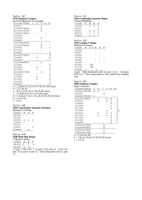| Peal no. 947                                        |           |   |             |                                            |  |
|-----------------------------------------------------|-----------|---|-------------|--------------------------------------------|--|
| <b>5079 Stedman Cinques</b>                         |           |   |             |                                            |  |
| Ian R Fielding (No 5a arranged)                     |           |   |             |                                            |  |
| 2314567890E                                         | $1 \quad$ | 6 | - 9         | 18 19                                      |  |
| 546321                                              |           |   | а           |                                            |  |
| 41325678E90                                         |           |   | b           |                                            |  |
| 4231567890E                                         |           |   | n           |                                            |  |
| 31425678E90                                         |           |   |             |                                            |  |
| 321456                                              |           |   |             |                                            |  |
| 324156                                              |           |   | S           |                                            |  |
| 312456                                              |           |   |             |                                            |  |
| 13579E24680                                         |           |   | $\mathbf C$ |                                            |  |
| 3124657890E                                         |           |   | d           |                                            |  |
| 314265                                              |           |   | S           | 2                                          |  |
| 412365                                              |           |   |             |                                            |  |
| 213465                                              |           |   |             | $\frac{2}{2}$<br>2<br>2                    |  |
| 31426578E90                                         |           |   |             |                                            |  |
| 312465                                              |           | S |             |                                            |  |
| 214365                                              |           |   |             | $\overline{2}$                             |  |
| 21436587E90                                         |           |   | е           |                                            |  |
| 413265                                              |           |   |             | $\begin{array}{c} 2 \\ 2 \\ 2 \end{array}$ |  |
| 412365                                              |           | S |             |                                            |  |
| 213465                                              |           |   |             |                                            |  |
| 2134658709E                                         |           |   | f           |                                            |  |
| 314265                                              |           |   |             |                                            |  |
| 412365                                              |           | S |             |                                            |  |
| 413265                                              |           | S |             | $222$<br>$22$                              |  |
| 312465                                              |           |   |             |                                            |  |
| 214365                                              |           |   |             | $\overline{2}$                             |  |
| $a = 1.5.6.9s.12.14.15.16.17.18.19$ (20 sixes)      |           |   |             |                                            |  |
| $b = 1.5.7.9s.18$                                   |           |   |             |                                            |  |
| $n = 9s.12.14.15.16.17.18.19$ (20 sixes)            |           |   |             |                                            |  |
| $c = 3.5.6.8s.9.12.14.15.16$ (16 sixes)             |           |   |             |                                            |  |
| $d = 1.3s.5s.6.7.10.11.13s.14s.18.19.20$ (20 sixes) |           |   |             |                                            |  |
| $e = 2s.13s.15s$                                    |           |   |             |                                            |  |
| $f = 2.15s$                                         |           |   |             |                                            |  |

# Peal no. 948

**5042 Lincolnshire Surprise Maximus**

| Michael P A Wilby |   |   |   |
|-------------------|---|---|---|
| 23456             | м | W | н |
| 42356             |   |   |   |
| 54326             |   |   |   |
| 24365             | s | S | 3 |
| 53462             |   |   |   |
| 65432             |   |   |   |
| 52436             |   |   | 2 |
| (32456)           |   | s |   |

Peal no. 950 **5040 Plain Bob Major** E Maurice Atkins 23456 W M H

56234 [- 2 -\*

 $42356$  2 -] -

12 part. Call s for -\* in parts 3,6,9 and 12. Call s for last -H in parts 6 and 12. Omit bracketed calls in part 11.

#### Peal no. 951 **5056 Cambridge Surprise Major** Charles Middleton

| 23456 | R | м              | M              | н |
|-------|---|----------------|----------------|---|
| 35264 |   | 2              | 2              | 3 |
| 56342 |   |                |                | 3 |
| 64523 |   | 2              | 2              | 3 |
| 42635 |   | $\mathfrak{D}$ | 2              | 3 |
| 23456 |   | $\mathfrak{D}$ | $\mathfrak{D}$ | २ |

# Peal no. 952

| 5056 London S Major                 |  |  |  |
|-------------------------------------|--|--|--|
| D = J = = : = 1 = D = I I = == = == |  |  |  |

| Roderick R Horton |   |                 |  |                  |   |  |  |  |  |  |
|-------------------|---|-----------------|--|------------------|---|--|--|--|--|--|
| 23456             | M | $3/5$ B         |  | W                | Н |  |  |  |  |  |
| 35426             |   |                 |  |                  |   |  |  |  |  |  |
| 24653             |   |                 |  |                  |   |  |  |  |  |  |
| 34256             |   |                 |  |                  |   |  |  |  |  |  |
| 25346             |   |                 |  |                  |   |  |  |  |  |  |
| 32546             |   |                 |  |                  |   |  |  |  |  |  |
| 53246             |   |                 |  |                  |   |  |  |  |  |  |
| 45362             |   | [SS             |  |                  |   |  |  |  |  |  |
| 62534             |   | SS              |  |                  |   |  |  |  |  |  |
| 23645             | 3 |                 |  |                  |   |  |  |  |  |  |
| $2 - \sqrt{2}$    |   | amit hungleated |  | $\sim$ 11 $\sim$ |   |  |  |  |  |  |

3 part. Omit bracketed calls in parts 2 & 3. Contains 100 cru's. This composition is also claimed by Stephen Ivin.

#### Peal no. 953 **5009 Stedman Cinques**

# Nigel J Newton

| <b>INIGEL J INEWIOII</b>                 |   |   |   |   |       |   |
|------------------------------------------|---|---|---|---|-------|---|
| 2314567890E                              | 1 | 6 | 7 | 9 | 16 18 |   |
| 2364517809E                              | S | S |   |   |       |   |
| 345261                                   |   |   | а |   |       |   |
| 3245617890E                              | S |   |   |   |       |   |
| 53126478E90                              |   | S |   | S | S     |   |
| 234165                                   |   | S |   | S | S     |   |
| 312465                                   |   |   |   |   | S     |   |
| 143265                                   |   |   |   |   | S     |   |
| 421365                                   |   |   |   |   | S     |   |
| 231564                                   |   |   |   | S |       | Χ |
| 524361                                   |   | S |   | S | S     |   |
| 321465                                   |   | S |   | S | S     |   |
| 243165                                   |   |   |   |   | S     |   |
| 412365                                   |   |   |   |   | S     |   |
| 134265                                   |   |   |   |   | S     |   |
| 3245618790E                              |   |   | b |   |       |   |
| 13426587E90                              |   |   | Χ |   |       |   |
| 324561879E0                              |   |   | C |   |       |   |
| 1342658709E                              |   |   | Χ |   |       |   |
| $a = 5.14s.16s.18s$                      |   |   |   |   |       |   |
| $b = 7.9s.12.14.16s.17.18.19$ (20 sixes) |   |   |   |   |       |   |

 $c = 7.9.10$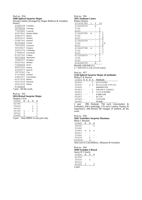| Peal no. 954<br>5600 Spliced Surprise Major |                |                |              | Norman Smith (Arranged by Roger Baldwin & Jonathan |
|---------------------------------------------|----------------|----------------|--------------|----------------------------------------------------|
| Porter)                                     |                |                |              |                                                    |
| 2345678                                     | Yorkshire      |                |              |                                                    |
| -3578264                                    | Uxbridge       |                |              |                                                    |
| 7325486                                     | Cornwall       |                |              |                                                    |
| 4267835                                     | Double Dublin  |                |              |                                                    |
| 6482573                                     | <b>Bristol</b> |                |              |                                                    |
| 8654327                                     | Whalley        |                |              |                                                    |
| -3586742                                    | Watford        |                |              |                                                    |
| 8375264                                     | London         |                |              |                                                    |
| 7823456                                     | Tavistock      |                |              |                                                    |
| 5634827                                     | Glasgow        |                |              |                                                    |
| 6452378                                     | Cambridge      |                |              |                                                    |
| 2748635                                     | Cassiobury     |                |              |                                                    |
| -8356742                                    | Lindum         |                |              |                                                    |
| 5873264                                     | Superlative    |                |              |                                                    |
| 3684527                                     | Wembley        |                |              |                                                    |
| -5836742                                    | Rutland        |                |              |                                                    |
| -7358264                                    | Jersey         |                |              |                                                    |
| 8634725                                     | Preston        |                |              |                                                    |
| 4265873                                     | Ipswich        |                |              |                                                    |
| 3876542                                     | Cray           |                |              |                                                    |
| 5723486                                     | Ashtead        |                |              |                                                    |
| 6482357                                     | Lincolnshire   |                |              |                                                    |
| -4257638                                    | <b>Belfast</b> |                |              |                                                    |
| $-5427638$                                  | Hereford       |                |              |                                                    |
| -2547638                                    | Pudsey         |                |              |                                                    |
| -5738264                                    |                |                |              |                                                    |
| 7 part. All the work.                       |                |                |              |                                                    |
| Peal no. 955                                |                |                |              |                                                    |
| 5024 Bristol Surprise Major                 |                |                |              |                                                    |
| Stephen J Ivin                              |                |                |              |                                                    |
| 23456<br>М                                  | В              | W              | Η            |                                                    |
| 42356                                       |                |                | $\mathbf{1}$ |                                                    |
| 35426                                       |                | 1              | $\mathbf 1$  |                                                    |
| 24536                                       |                | 2              | 2            |                                                    |
| 25346<br>1                                  | -              | $\overline{2}$ | 2            |                                                    |
| $\overline{2}$<br>26543                     |                |                | $\mathbf{1}$ |                                                    |

23645 2 1

3 part. Omit MBW in one part only.

Peal no. 956 **5055 Stedman Caters** Robert Dennis

| волят плины           |   |   |                |   |
|-----------------------|---|---|----------------|---|
| 231456789             | 1 | 5 | 16             |   |
| 213465879             |   | a |                |   |
| 3142                  |   |   | 2              |   |
| 4123                  |   |   | $\overline{2}$ |   |
| 213465789             | S |   | $\overline{2}$ |   |
| 3142                  |   |   | $\overline{c}$ |   |
| 4123                  |   |   | $\overline{c}$ |   |
| 213465978             |   |   | $\overline{c}$ |   |
| 3142                  |   |   | $\overline{2}$ | Χ |
| 4123                  |   |   | $\overline{c}$ |   |
| 213465798             | S |   | $\overline{c}$ |   |
| 3142                  |   |   | 2              |   |
| 4123                  |   |   | $\overline{c}$ |   |
| 413265879             |   | S | 2              |   |
| 3124                  |   |   | 2              |   |
| 2143                  |   |   | $\overline{2}$ |   |
| 214365978             |   | X |                |   |
| Rounds with bob at 1. |   |   |                |   |

 $a = 4.8.9.10.11.13s.14$  (14 sixes)

#### Peal no. 957 **5120 Spliced Surprise Major (8 methods)** Philip G K Davies

| 34256<br>2<br><b>B-YYYCPNN-</b><br>52436<br>2.2<br>RY-LLLLLRL-YYN-LYL-<br>35426<br><b>RRRRRR·NSN</b><br>56243<br>2<br>NNS-PSCY-SSSSSSCS-<br>54263<br>$-2$<br>YCCY.R.NNNPR.<br>24653<br>$R$ $-BBB$ $I$ $RR$ $I$<br>65243<br>$RC$ CPC $\cdot$<br>32546<br>CCP.NYPP. | 23456 M B W H |  |  | Methods |
|-------------------------------------------------------------------------------------------------------------------------------------------------------------------------------------------------------------------------------------------------------------------|---------------|--|--|---------|
|                                                                                                                                                                                                                                                                   |               |  |  |         |
|                                                                                                                                                                                                                                                                   |               |  |  |         |
|                                                                                                                                                                                                                                                                   |               |  |  |         |
|                                                                                                                                                                                                                                                                   |               |  |  |         |
|                                                                                                                                                                                                                                                                   |               |  |  |         |
|                                                                                                                                                                                                                                                                   |               |  |  |         |
|                                                                                                                                                                                                                                                                   |               |  |  |         |
|                                                                                                                                                                                                                                                                   |               |  |  |         |
|                                                                                                                                                                                                                                                                   | 24365         |  |  | PP.BBB  |

2 part. 896 Rutland, 704 each Lincolnshire & Yorkshire, 640 Cambridge, 576 each London, Pudsey & Superlative, 448 Bristol; 88 changes of method, all the work.

### Peal no. 958

# **5042 Yorkshire Surprise Maximus**

| Mark C Bennett |   |                |                |
|----------------|---|----------------|----------------|
| 23456          | М | W              | Η              |
| 34256          |   |                | $\mathfrak{D}$ |
| 53246          |   |                |                |
| 32465          | S | S              | 2              |
| 64523          |   |                |                |
| 32546          |   |                |                |
| 52436          |   | $\mathfrak{D}$ |                |
| (32456)        |   | S              |                |

Also true to Lincolnshire, Albanian & Swindon.

| Peal no. 959       |  |  |
|--------------------|--|--|
| $5040$ Swindon S R |  |  |

| 5040 Swindon S Royal |    |   |    |
|----------------------|----|---|----|
| James R S Sawle      |    |   |    |
| 23456                | м  | W | н  |
| 42356                |    |   |    |
| 25634                |    | 2 |    |
| 46532                |    |   |    |
| 24365                | 2. |   | 2. |
| 2 part.              |    |   |    |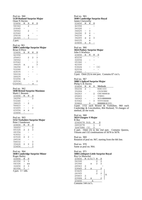### Peal no. 960 **5120 Rutland Surprise Major** Onan N Davies

| 23456   | м | В              | H |  |
|---------|---|----------------|---|--|
| 56342   |   | $\mathfrak{D}$ |   |  |
| 23645   |   |                |   |  |
| 34562   |   | 2              |   |  |
| 63542   |   |                |   |  |
| 25634   |   | 4              |   |  |
| 24365   |   | っ              |   |  |
| 2 part. |   |                |   |  |

#### Peal no 961 **5090 Cambridge Surprise Major** Brian D Price

| 23456   | В | М | W  | Η |
|---------|---|---|----|---|
| 42356   |   |   |    |   |
| 25463   |   | 2 | 2  | 3 |
| 34562   |   |   |    |   |
| 63542   |   |   |    | 3 |
| 34625   | x |   |    | ζ |
| 34256   |   | 2 | 2. |   |
| 53246   |   |   |    |   |
| 42635   |   |   |    |   |
| 56234   |   |   |    |   |
| 26435   |   |   |    |   |
| 63254   | X |   |    |   |
| 62534   |   |   |    |   |
| (32456) |   |   | S  |   |

### Peal no. 962

**5040 Bristol Surprise Maximus** Mark C Bennett

| ійнага са тэсінісі. |   |                |                |
|---------------------|---|----------------|----------------|
| 23456               | м | W              | н              |
| 34256               |   |                | $\mathfrak{D}$ |
| 53246               |   |                |                |
| 34625               |   | $\mathfrak{D}$ |                |
| 56423               |   |                |                |
| 43265               |   |                | $\mathfrak{D}$ |
| 63254               | S | S              |                |
| 23456               |   |                |                |

#### Peal no. 963 **5152 Yorkshire Surprise Major**

| Peter J Sanderson |                |   |   |  |  |
|-------------------|----------------|---|---|--|--|
| 23456             | М              | W | Н |  |  |
| 36452             |                |   | 2 |  |  |
| 65324             | $\mathcal{L}$  | 2 | 3 |  |  |
| 26354             |                |   |   |  |  |
| 43652             |                |   |   |  |  |
| 43526             | $\mathfrak{D}$ | 2 |   |  |  |
| 24536             |                |   |   |  |  |
| 54632             |                |   | 3 |  |  |
| 35426             | 2              | 2 | 2 |  |  |
| 23456             |                |   | 3 |  |  |

#### Peal no. 964 **5040 Cambridge Surprise Minor** Roger Bailey

| $\mathbf{1}_{\mathbf{1}_{\mathbf{2}}\mathbf{2}_{\mathbf{3}}\mathbf{3}_{\mathbf{4}}\mathbf{4}}$ |    |    |
|------------------------------------------------------------------------------------------------|----|----|
| 23456                                                                                          | W  | Н  |
| 42356                                                                                          | 3  | 3  |
| 54326                                                                                          |    | SS |
| 32456                                                                                          | 2. | 3  |
| 42356                                                                                          | ٦  |    |
| 3 part. $3 =$ sbb.                                                                             |    |    |

#### Peal no. 965 **5040 Cambridge Surprise Royal** James Clatworthy

| ames Chain of the |   |   |   |
|-------------------|---|---|---|
| 23456             | М | W | Н |
| 42356             |   |   |   |
| 54326             |   |   |   |
| 34625             |   | 3 |   |
| 34256             | 2 | 2 |   |
| 54236             |   | S |   |
| 34265             | S | S | 3 |
| 64235             |   | S |   |
| 23456             | S | S |   |

### Peal no. 966

# **5024 Pudsey Surprise Major**

| John S Warboys |                |   |   |     |
|----------------|----------------|---|---|-----|
| 23456          | B              | М | W | Η   |
| 45236          |                |   |   |     |
| 32654          |                |   |   |     |
| 25346          |                |   |   |     |
| 42356          |                |   |   |     |
| 53624          |                |   |   | (3) |
| 62534          |                |   |   |     |
| 23645          |                |   |   |     |
|                | $\cdot$ $\sim$ |   |   |     |

3 part. Omit (3) in one part. Contains 67 cru's.

# Peal no. 967

# **5088 5-Spliced Surprise Major**

| Philip G K Davies |   |          |    |                                                                                               |
|-------------------|---|----------|----|-----------------------------------------------------------------------------------------------|
| 23456             | M | W        | H  | Methods                                                                                       |
| 56234             | 2 |          |    | R-B-C-CCC                                                                                     |
| 35264             |   |          |    | <b>CYCN-NNC</b>                                                                               |
| 54263             |   |          | 2. | CNY.NNNN.B.                                                                                   |
| 25463             |   |          |    | YYRYC·                                                                                        |
| 34562             |   |          |    | NCN-BBBBBBB-                                                                                  |
| 63542             |   |          | 3  | YYYYR <sub>B</sub> .B.                                                                        |
| 53462             |   | 2        |    | RRRRRR.B.YYY.                                                                                 |
| $\gamma$ is a set |   | المقامات |    | $\mathbf{D} \cdot \mathbf{L} \cdot \mathbf{L} = \mathbf{D} \cdot \mathbf{L} \cdot \mathbf{L}$ |

3-part. 1152 each Bristol & Yorkshire, 960 each Cambridge & Lincolnshire, 864 Rutland; 74 changes of method, all the work.

#### Peal no. 968 **5024 Glasgow S Major** R Bee

| $\Lambda$ and $\Lambda$ and $\Lambda$ is the |  |   |   |
|----------------------------------------------|--|---|---|
| 3247586 (3)                                  |  | 2 |   |
| 2453678                                      |  |   | 2 |
| 2345678 5th                                  |  | W | н |
| www                                          |  |   |   |

4 part. Omit  $(3)$  in the 2nd part. Contains Queens, Tittums and 132 combinations of 5678 in 5678.

#### Peal no. 969 Rotation of peal no. 967, starting from the 6th line.

Peal no. 970 Same as peal no. 964.

#### Peal no. 971 **5088 Littleport Little Surprise Royal** Roy Le Marechal

| 23456                    |   | $M_{6}/O/7$ | W              | Η              |   |
|--------------------------|---|-------------|----------------|----------------|---|
| 54326                    |   |             | $\overline{2}$ | 2              |   |
| 25346                    |   | x           | 2              | $\overline{2}$ |   |
| 26543                    | 2 |             |                |                |   |
| 23645                    | 2 | х           |                | 2              |   |
| 63425                    |   |             | 2              |                |   |
| 24365                    |   |             | 2              | 2              | А |
| 25463                    | 2 |             |                |                |   |
| 23564                    | 2 | x           |                | 2              |   |
| 23456                    |   | А           |                |                |   |
| $\overline{\phantom{a}}$ |   |             |                |                |   |

Contains 144 cru's.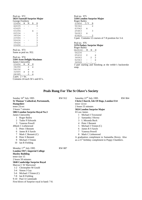Peal no. 972 **5024 Tunstall Surprise Major** George Freebrey

| 23456 | W | М | R | Н |  |
|-------|---|---|---|---|--|
| 42635 |   |   |   | 3 |  |
| 63425 |   |   |   |   |  |
| 63254 |   |   | X |   |  |
| 62534 |   |   |   | 2 |  |
| 36524 |   |   |   | 3 |  |
| 23564 |   |   |   | 3 |  |
| 52436 |   |   |   | 3 |  |
| 35426 |   |   |   | 3 |  |
| 23456 |   |   |   | 3 |  |
|       |   |   |   |   |  |

Peal no. 973 Same as peal no. 952.

Peal no. 974 **5184 Avon Delight Maximus** James Clatworthy 23456 M W H  $\frac{34256}{54336}$  2 s 54236 s 32465 s s s 24365 2 s \_\_\_\_\_\_\_\_\_\_\_\_\_\_  $\overline{2$  part.  $2 = bs$ . Contains 24 each 56's and 65's.

First blows of Surprise royal in hand: 7-8.

Peal no. 975 **5184 London Surprise Major** Roger Bailey  $23456$   $I/V$  B 56342 2 63542 x 25463 3 54263 x 63425 2 \_\_\_\_\_\_\_\_\_\_\_\_\_ 3 part. Contains 12 courses of 7-8 position for 3-4. Peal no. 976 **5376 Pudsey Surprise Major** Roger Bailey  $(42536)$  M W H 54236 65432 2 s  $34562$  2 2<br>  $62543$  - - s<br>  $34526$  - - -

34526 3 part starting and finishing at the treble's backstroke snap.

 $62543 - -$  s<br>34526 - - -

# **Peals Rung For The St Olave's Society**

| Sunday $16th$ July 1995             | RW 912        | Saturday $22nd$ July 1995                                     | <b>RW 864</b> |  |  |
|-------------------------------------|---------------|---------------------------------------------------------------|---------------|--|--|
| St Thomas' Cathedral, Portsmouth,   |               | <b>Christ Church, Isle Of Dogs, London E14</b><br>tenor 12cwt |               |  |  |
| Hampshire                           |               |                                                               |               |  |  |
| tenor 25cwt                         |               | 2 hours 55 minutes                                            |               |  |  |
| 3 hours 7 minutes                   |               | 5024 London Surprise Major                                    |               |  |  |
| 5002 London Surprise Royal No.3     |               | H Law James                                                   |               |  |  |
| James Clatworthy                    |               | Michael J Townsend<br>1                                       |               |  |  |
| <b>Roger Bailey</b><br>1            |               | Samantha J Hovey<br>2                                         |               |  |  |
| <b>Tudor P Edwards</b><br>2         |               | L Miranda Buck<br>3                                           |               |  |  |
| 3<br>Vanessa Powell                 |               | Peter J Bennett<br>4                                          |               |  |  |
| 4Mark C Liebenrood                  |               | Michael J Trimm (C)<br>5                                      |               |  |  |
| 5 Peter J Bennett                   |               | James R S Sawle<br>6                                          |               |  |  |
| James R S Sawle<br>6                |               | Vanessa Powell<br>7                                           |               |  |  |
| Mark C Bennett $(C)$<br>7           |               | Mark C Liebenrood<br>8                                        |               |  |  |
| Peter S Bennett<br>8                |               | A graduation compliment to Samantha Hovey. Also               |               |  |  |
| Michael J Trimm<br>9                |               | as a 21 <sup>st</sup> birthday compliment to Poppy Chambers.  |               |  |  |
| 10<br>Ian R Fielding                |               |                                                               |               |  |  |
| Monday $17th$ July 1995             | <b>RW 887</b> |                                                               |               |  |  |
| <b>London SW7, Imperial College</b> |               |                                                               |               |  |  |
| <b>Huxley Building</b>              |               |                                                               |               |  |  |
| tenor size 15                       |               |                                                               |               |  |  |
| 2 hours 50 minutes                  |               |                                                               |               |  |  |
| 5040 Cambridge Surprise Royal       |               |                                                               |               |  |  |
| Marcus C W Sherwood                 |               |                                                               |               |  |  |
| 1-2 Christopher M Gould             |               |                                                               |               |  |  |
| Simon J Gay<br>$3-4$                |               |                                                               |               |  |  |
| Michael J Trimm (C)<br>$5-6$        |               |                                                               |               |  |  |
| Ian R Fielding<br>$7-8$             |               |                                                               |               |  |  |
| 9-10 Paul A Cammiade                |               |                                                               |               |  |  |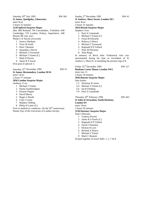| Saturday 29 <sup>th</sup> July 1995                | RW 961 |
|----------------------------------------------------|--------|
| <b>St James, Quedgeley, Gloucester,</b>            |        |
| tenor 9cwt                                         |        |
| 2 hours 55 minutes                                 |        |
| 5120 Spliced Surprise Major                        |        |
| (8m: 896 Rutland; 704 Lincolnshire, Yorkshire; 640 |        |
| Cambridge; 576 London, Pudsey, Superlative; 448    |        |
| Bristol; 88 com, atw)                              |        |
| Philip G K Davies (reversed)                       |        |
| 1 Jessica Abraham                                  |        |
| 2 Terry M Astill                                   |        |
| 3 Peter J Bennett                                  |        |
| 4 Samantha J Hovey                                 |        |
| 5 Michael J Townsend                               |        |
| 6 Michael J Trimm (C)                              |        |
| 7 Mark B Davies                                    |        |
| 8.<br>James R S Sawle                              |        |
| First peal of spliced: 5.                          |        |
|                                                    |        |
| Saturday 25 <sup>th</sup> November 1995            | RW 41  |
| St James, Bermondsey, London SE16                  |        |
| tenor 14cwt                                        |        |
| 2 hours 57 minutes                                 |        |
|                                                    |        |

#### **5056 London Surprise Major** Anthony J Cox

- 1 Michael J Trimm
- 2 Emma Southerington
- 3 Eleanor Kippin
- 4 David Macey
- 5 Roger G Booth
- 6 Clare J Larter
- 7 Matthew Hilling
- 8 Philip H Larter (C)

First in method as conductor. On the  $50<sup>th</sup>$  anniversary Dinner Day of the University of London Society.

**St Andrew, Short Street, London SE1** tenor 4cwt 2 hours 31 minutes **5024 Bristol Surprise Major** Stephen J Ivin 1 Paul A Cammiade 2 Michael J Trimm (C) 3 Fiona M Edwards 4 Rebecca S Bruce 5 Michael J Townsend 6 Reginald D P Gillard 7 Peter M Fleckney 8 Alan Regin In memory of Revd John Tredennick who was instrumental during his time as incumbent of St Andrew's, Short St. in installing the present ring of 8. Friday 22<sup>nd</sup> December 1995 RW 127 **Bonham Carter House, London SW1** tenor size 11 2 hours 18 minutes **5056 Bourne Surprise Major** Stan Jenner 1-2 Nicholas W Jones 3-4 Michael J Trimm (C) 5-6 Ian R Fielding 7-8 Paul A Cammiade Thursday  $29^{\text{th}}$  February 1996 RW 443 **St John of Jerusalem, South Hackney, London E9** tenor 19cwt 2 hours 59 minutes **5120 Hackney Surprise Major** Noel J Diserens 1 Vanessa Powell 2 James R S Sawle (C) 3 Reginald D P Gillard 4 David J Dearnley

- 5 Dickon R Love
- 6 Richard A Pearce
- 7 Michael J Trimm
- 8 Mark C Bennett

50 peal together of tower bells: 1, 2, 7 & 8.

Sunday 3<sup>rd</sup> December 1995 RW 41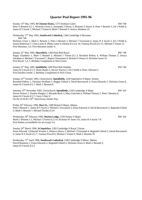# **Quarter Peal Report 1995-96**

Sunday 14<sup>th</sup> May 1995, **St Clement Danes,** 1275 Stedman Caters RW 748 Peter S Bennett (C) 1, Nicholas Green 2, Samantha J Hovey 3, Richard A Pearce 4, Peter J Bennett 5, Ed J Webb 6, James R S Sawle 7, Michael J Trimm 8, Mark C Bennett 9, Jessica Abraham 10 Wednesday 17<sup>th</sup> May 1995, **Southwark Cathedral,** 1346 Cambridge S Maximus RW 748 Nicholas Green 1, Mark C Bennett 2, Peter J Bennett 3, Michael J Townsend 4, James R S Sawle 5, Ed J Webb 6, Simon Robertson 7, Clare Larter 8, Philip Larter 9, Dickon R Love 10, Vanessa Powell (C) 11, Michael J Trimm 12 First Maximus: 3,4. First Maximus inside: 6. Sunday 21<sup>st</sup> May 1995, **Shoreditch,** 1260 Plain Bob Royal RW 748 Poppy Chambers 1, Mark C Bennett 2, Michael J Trimm (C) 3, Rosalind Palfrey 4, William Thomas 5, Jessica Abraham 6, Michael J Townsend 7, Rupert Cheeseman 8, Richard A Pearce 9, Nicholas Green 10 First Royal: 1,4, 5. Birthday Compliment to Nick Green. Sunday 21<sup>st</sup> May 1995, **Smithfield,** 1260 Plain Bob Doubles RW 748 James R S Sawle (C) 1, Diane Banks 2, Steven Warren 3, Ed J Webb 4, Peter J Bennett 5 First Doubles Inside: 2. Birthday Compliment to Nick Green. Sunday 22nd October 1995, Christchurch, **Spitalfields,** 1250 Superlative S Major, 41mins Rosalind Palfrey 1, Christian Peckham 2, Reggie Gillard 3, David Baverstock 4, Fiona Edwards 5, Nicholas Green 6, James R S Sawle (C) 7, Mark C Bennett 8 Saturday 25<sup>th</sup> November 1995, Christchurch, **Spitalfields**, 1250 Cambridge S Major RW 102 Steven Warren 1, Pauline Dingley 2, Miranda Buck 3, Mary Faircloth 4, William Thomas 5, Peter J Bennett 6, James R S Sawle (C) 7, Garry S Barr 8 On the ULSCR's 50<sup>th</sup> Anniversary Dinner Day. Friday 16th February 1996, **Hart St.,** 1280 Bristol S Major, 44mins Peter J Bennett 1, James R S Sawle 2, Michael J Townsend 3, Fiona Edwards 4, David Baverstock 5, Reginald Gillard 6, Mark C Bennett 7, Michael Purday (C) 8 Wednesday 28th February 1996, **Marlyn Lodge,** 1250 Pudsey S Major RW 102 Mark C Bennett 1-2, Michael J Trimm (C) 3-4, Nicholas W Jones 5-6, James R S Sawle 7-8 First Pudsey on handbells for all except 3-4. Sunday 24th March 1996, **St Sepulchre,** 1282 Cambridge S Royal, 51mins Fiona Edwards 1,Edmond Wratten 2, Rebecca Bruce 3, Michael J Townsend 4, Reginald Gillard 5, David Baverstock 6, James R S Sawle (C) 7, Vanessa Powell 8, Michael J Trimm 9, Mark C Bennett 10 Wednesday 17<sup>th</sup> April 1996, **Southwark Cathedral**, 1296 Cambridge S Minor, 58mins David Braunton 1, Fiona Edwards 2, Reginald Gillard 3, Nicholas Green 4, Mark C Bennett 5, James R S Sawle (C) 6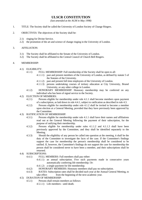# **ULSCR CONSTITUTION**

*(last amended at the AGM in May 1998)*

- 1. TITLE: The Society shall be called the University of London Society of Change Ringers.
- 2. OBJECTIVES: The objectives of the Society shall be:
	- 2.1) ringing for Divine Service.
	- 2.2) the promotion of the art and science of change ringing in the University of London.

# 3. AFFILIATION:

- 3.1) The Society shall be affiliated to the Senate of the University of London.
- 3.2) The Society shall be affiliated to the Central Council of Church Bell Ringers.

# 4. MEMBERSHIP:

- 4.1) ELIGIBILITY:
	- 4.1.1) FULL MEMBERSHIP: Full membership of the Society shall be open to all:
		- 4.1.1.1) past and present members of the University of London, as defined by statute 5 of the Statutes of the University.
		- 4.1.1.2) past and present full time employees of the University of London.
		- 4.1.1.3) persons undertaking courses of tertiary education at City University, Brunel University, or any other college in London.
	- 4.1.2) HONORARY MEMBERSHIP: Honorary membership may be conferred on any individual who has been of signal service to the Society.

# 4.2) ELECTION OF MEMBERS:

- 4.2.1) Persons eligible for membership under rule 4.1.1 shall become members upon payment of a subscription, as laid down in rule 4.4.1, subject to ratification as described in rule 4.3.
- 4.2.2) Persons eligible for membership under rule 4.1.2 shall be invited to become a member upon election at a General Meeting, provided that they have previously been approved by the Committee.
- 4.3) RATIFICATION OF MEMBERSHIP:
	- 4.3.1) Persons eligible for membership under rule 4.1.1 shall have their names and affiliations read out at the General Meeting following the payment of their subscription, for the purpose of ratifying their membership.
	- 4.3.2) Persons eligible for membership under rules 4.1.1.2 and 4.1.1.3 shall have been previously approved by the Committee, and they shall be identified separately to the Meeting.
	- 4.3.3) Should the eligibility of any person be called into question at the meeting, it shall be the duty of the Committee to investigate the facts of the case. If the Committee's findings support the case for membership the person's membership shall be considered to be ratified. If, however, the Committee's findings do not support the case for membership the person shall be considered never to have been a member, and their subscriptions shall be returned.

# 4.4) SUBSCRIPTIONS:

- 4.4.1) FULL MEMBERS: Full members shall pay either:
	- 4.4.1.1) an annual subscription. Five such payments made in consecutive years automatically conferring life membership. Or:
	- 4.4.1.2) a single payment for life membership.
- 4.4.2) HONORARY MEMBERS: Honorary members shall pay no subscription.
- 4.4.3) RATES: Subscription rates shall be decided each year at the Annual General Meeting, to take effect from the beginning of the next academic year.

# 4.5) DURATION OF MEMBERSHIP:

- 4.5.1) Persons shall remain members as follows:
	- 4.5.1.1) Life members until death.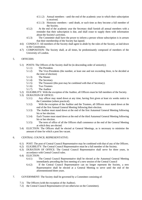- 4.5.1.2) Annual members until the end of the academic year in which their subscription is received.
- 4.5.1.3) Honorary members until death, or such time as they become a full member of the Society.
- 4.5.2) At the end of the academic year the Secretary shall furnish all annual members with a reminder that their subscription is due, and shall cease to supply them with information about the Society's activities.
- 4.5.3) The Committee shall have the power to inform a person whose subscription is in arrears that their membership of the Society has lapsed.
- 4.6) CONDUCT: All members of the Society shall agree to abide by the rules of the Society, as laid down in the Constitution.
- 4.7) COMPOSITION: The Society shall, at all times, be predominantly composed of members of the University of London.

# 5. OFFICERS:

- 5.1) POSTS: The Officers of the Society shall be (in descending order of seniority);
	- 5.1.1) The President.
	- 5.1.2) The Vice-Presidents (the number, at least one and not exceeding three, to be decided at the time of election)
	- 5.1.3) The Master
	- 5.1.4) The Secretary
	- 5.1.5) The Treasurer (this post may be combined with that of Secretary).
	- 5.1.6) Two Trustees
	- 5.1.7) The Auditor
- 5.2) ELIGIBILITY: With the exception of the Auditor, all Officers must be full members of the Society.
- 5.3) DURATION OF OFFICE:
	- 5.3.1) Any officer may stand down at any time, having first given at least six weeks notice to the Committee (where practical).
	- 5.3.2) With the exception of the Auditor and the Trustees, all Officers must stand down at the end of the first Annual General Meeting following their election.
	- 5.3.3) The Auditor must stand down at the end of the first Autumnal General Meeting following his or her election.
	- 5.3.4) Each Trustee must stand down at the end of the third Autumnal General Meeting following his or her election.
	- 5.3.5) The term of office of all the Officers shall commence at the end of the General Meeting at which they are elected.
- 5.4) ELECTION: The Officers shall be elected at General Meetings, as is necessary to minimise the amount of time for which a post lies vacant.

# 6. CENTRAL COUNCIL REPRESENTATIVE:

- 6.1) POST: The post of Central Council Representative may be combined with that of any of the Officers.
- 6.2) ELIGIBILITY: The Central Council Representative must be a full member of the Society.
- 6.3) DURATION OF OFFICE: The Central Council Representative shall serve for three years, in accordance with Central Council rules.
- 6.4) ELECTION:
	- 6.4.1) The Central Council Representative shall be elected at the Autumnal General Meeting immediately preceding the first meeting of a new session of the Central Council
	- 6.4.2) If the Central Council Representative can no longer represent the Society, a new Representative shall be elected at a General Meeting to serve until the end of the aforementioned three years.
- 7. GOVERNMENT: The Society shall be governed by a Committee consisting of:
	- 7.1) The Officers (with the exception of the Auditor).
	- 7.2) the Central Council Representative (if not otherwise on the Committee).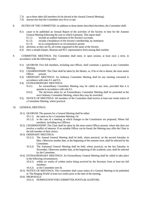- 7.3) up to three other full members (to be elected at the Annual General Meeting).
- 7.4) anyone else that the Committee sees fit to co-opt.
- 8. DUTIES OF THE COMMITTEE: In addition to those duties described elsewhere, the Committee shall:
	- 8.1) cause to be published an Annual Report of the activities of the Society in time for the Autumn General Meeting following the year to which it pertains. This report shall:
		- 8.1.1) include an audited statement of the Society's accounts.
		- 8.1.2) include a breakdown of the Society's membership, by institution.
		- 8.1.3) be as comprehensive as circumstances permit.
	- 8.2) advertise, as they see fit, all events organised in the name of the Society.
	- 8.3) elect a steeple-keeper, librarian and PCC representative from among their number.
- 9. COMMITTEE MEETINGS: The Committee shall meet, in open session, at least once a term, in accordance with the following rules:
	- 9.1) QUORUM: Five full members, including one Officer, shall constitute a quorum at any Committee Meeting.
	- 9.2) CHAIRMANSHIP: The Chair shall be taken by the Master, or, if he or she is absent, the most senior Officer present.
	- 9.3) ORDINARY MEETINGS: An Ordinary Committee Meeting shall be any meeting convened in accordance with rules 9.1 and 9.5.
	- 9.4) EXTRAORDINARY MEETINGS:
		- 9.4.1) An extraordinary Committee Meeting may be called at any time, provided that it is quorate in accordance with rule 9.1.
		- 9.4.2) The decisions taken by an Extraordinary Committee Meeting shall be presented at the next Ordinary Committee Meeting, where they may be overruled.
	- 9.5) NOTICE OF MEETINGS: All members of the Committee shall receive at least one weeks notice of a Committee Meeting, where practical.
- 10. GENERAL MEETINGS:
	- 10.1) QUORUM: The quorum for a General Meeting shall be either:
		- 10.1.1) the same as for a Committee Meeting. Or:
		- 10.1.2) in the case of a meeting at which changes to the Constitution are proposed, fifteen full members, including two Officers.
	- 10.2) CHAIRMANSHIP: The Chair shall be taken by the most senior Officer present, where this does not involve a conflict of interests. If no suitable Officer can be found, the Meeting may offer the Chair to the full member of their choice.
	- 10.3) ORDINARY MEETINGS:
		- 10.3.1) The Annual General Meeting shall be held, where practical, on the second Saturday in May. Otherwise another date, at the beginning of the summer term, shall be selected by the **Committee**
		- 10.3.2) The Autumnal General Meeting shall be held, where practical, on the last Saturday in November. Otherwise another date, at the beginning of the academic year, shall be selected by the Committee.
	- 10.4) EXTRAORDINARY MEETINGS: An Extraordinary General Meeting shall be called to take place in the following circumstances:
		- 10.4.1) within six weeks of written notice being received by the Secretary from at least ten full members.
		- 10.4.2) as the Committee sees fit.
	- 10.5) NOTICE OF MEETINGS: The Committee shall cause notice of a General Meeting to be published in 'The Ringing World' at least two weeks prior to the date of the meeting.
	- 10.6) PROPOSALS:
		- 10.6.1) NOMINATION FOR COMMITTEE POSTS (& AUDITOR)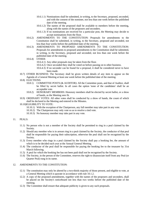- 10.6.1.1) Nominations shall be submitted, in writing, to the Secretary, proposed, seconded, and with the consent of the nominee, not less than one week before the published date of the meeting.
- 10.6.1.2) The names of the proposed shall be available to members before the meeting, along with the names of the proposers and seconders.
- 10.6.1.3) If no nominations are received for a particular post, the Meeting may decide to accept nominations from the floor.
- 10.6.2) AMENDMENTS TO THE CONSTITUTION: Proposals for amendments to the Constitution shall be submitted, in writing, to the Secretary, proposed and seconded, not less than four weeks before the published date of the meeting.
- 10.6.3) AMENDMENTS TO PROPOSED AMENDMENTS TO THE CONSTITUTION: Proposals for amendments to proposed amendments to the Constitution shall be submitted, in writing, to the Secretary, proposed and seconded, not less than one week before the published date of the meeting.
- 10.6.4) OTHER:
	- 10.6.4.1) Any other proposals may be taken from the floor.
	- 10.6.4.2) Once seconded they shall be voted on before passing on to other business.
	- 10.6.4.3) If no seconder can be found for a proposal, it shall be considered never to have been made.
- 10.7) OTHER BUSINESS: The Secretary shall be given written details of any item to appear on the Agenda of a General Meeting at least one week before the published date of the meeting.
- 10.8) ELECTIONS:
	- 10.8.1) COMMITTEE POSTS (& AUDITOR): All the Committee posts, and that of Auditor, shall be filled by secret ballot. In all cases the option 'none of the candidates' shall be an acceptable vote.
	- 10.8.2) HONORARY MEMBERS: Honorary members shall be elected by secret ballot, or a show of hands, as the Meeting sees fit.
- 10.9) ORDINARY VOTES: All other votes shall be conducted by a show of hands, the count of which shall be declared to the Meeting and entered in the Minutes.

# 10.10)ELIGIBILITY TO VOTE:

- 10.10.1) With the exception of the Chairperson, any full member may take part in any vote.
- 10.10.2) The Chairperson may only vote so as to resolve a tied vote.
- 10.10.3) No honorary member may take part in any vote.

# 11. PEALS:

- 11.1) No person who is not a member of the Society shall be permitted to ring in a peal claimed by the Society.
- 11.2) Should any member who is in arrears ring in a peal claimed by the Society, the conductor of that peal shall be responsible for paying their subscription, otherwise the peal shall not be recognised by the Society.
- 11.3) Every member who rings in a peal claimed by the Society shall pay a booking fee, the amount of which is to be decided each year at the Annual General Meeting.
- 11.4) The conductor of the peal shall be responsible for paying the booking fee to the treasurer by 31st March following.
- 11.5) A peal for which the booking fee has not been paid shall not be recognised by the Society.
- 11.6) The Society, in the person of the Committee, reserves the right to disassociate itself from any Peal (or Quarter Peal) rung in its name.

# 12. AMENDMENTS TO THE CONSTITUTION:

- 12.1) The constitution may only be altered by a two-thirds majority of those present, and eligible to vote, at a General Meeting which is quorate in accordance with rule 10.1.2.
- 12.2) A copy of the proposed amendments, together with the names of the proposers and seconders, shall be placed on the Society's noticeboard not less than two weeks before the published date of the meeting.
- 12.3) The Committee shall ensure that adequate publicity is given to any such proposals.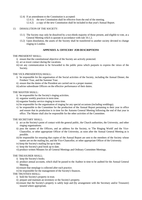- 12.4) If an amendment to the Constitution is accepted:
	- 12.4.1) the new Constitution shall be effective from the end of the meeting.
	- 12.4.2) a copy of the new Constitution shall be included in that year's Annual Report.

# 13. DISSOLUTION OF THE SOCIETY:

- 13.1) The Society may only be dissolved by a two-thirds majority of those present, and eligible to vote, at a General Meeting which is quorate in accordance with rule 10.1.2.
- 13.2) Upon dissolution, the assets of the Society shall be transferred to another society devoted to change ringing in London.

# **APPENDIX A: OFFICERS' JOB DESCRIPTIONS**

# THE PRESIDENT SHALL:

- i) ensure that the constitutional objective of the Society are actively protected.
- ii) act as tower contact during the vacations.
- iii) vet any communication to be forwarded to the public press which purports to express the views of the Society.

# THE VICE-PRESIDENT(S) SHALL:

- i) be responsible for the organisation of the Social activities of the Society, including the Annual Dinner, the Freshers' Tour, and the Summer Tour.
- ii) ensure that the duties of the President are carried out in a proper manner.
- iii) advise subordinate Officers on the effective performance of their duties.

# THE MASTER SHALL:

- i) be responsible for the Society's ringing activities.
- ii) organise weekly practices in term time.
- iii) organise Sunday service ringing in term time.
- iv) be responsible for the organisation of ringing for any special occasions (including weddings).
- v) be responsible to the Committee for the production of the Annual Report pertaining to their year in office and ensure that its production is in time for the Autumn General Meeting following the end of that year in office. The Master shall also be responsible for the other activities of the Committee.

# THE SECRETARY SHALL:

- i) act as the Society's point of contact with the general public, the Church authorities, the University, and other ringing organisations.
- ii) pass the names of the Officers, and an address for the Society, to 'The Ringing World' and the Vice-Chancellor, or other appropriate Officer of the University, as soon after the Annual General Meeting as is possible.
- iii) be responsible for ensuring that copies of the Annual Report are sent to the members of the Society whose names are on the mailing list, and the Vice-Chancellor, or other appropriate Officer of the University.
- iv) keep the Society's mailing list up to date.
- v) keep the Society's peal book up to date.
- vi) produce written Minutes for all General Meetings and Ordinary Committee Meetings.

# THE TREASURER SHALL:

- i) keep the Society's books.
- ii) produce annual accounts, which shall be passed to the Auditor in time to be audited for the Annual General Meeting.
- iii) ensure that steeplage is collected after each practice.
- iv) be responsible for the management of the Society's finances.

# THE TRUSTEES SHALL:

- i) hold the Society's property in trust.
- ii) prepare and maintain an inventory or the Society's property.
- iii) ensure that the Society's property is safely kept and (by arrangement with the Secretary and/or Treasurer) insured where appropriate.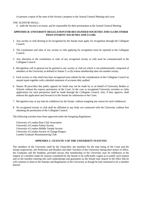iv) present a report of the state of the Society's property to the Annual General Meeting each year.

# THE AUDITOR SHALL:

i) audit the Society's accounts, and be responsible for their presentation at the Annual General Meeting.

# **APPENDIX B: UNIVERSITY REGULATION FOR RECOGNISED SOCIETIES AND CLUBS OTHER THAN STUDENT SOCIETIES AND CLUBS.**

- 1. Any society or club desiring to be recognised by the Senate must apply for recognition through the Collegiate Council.
- 2. The constitution and rules of any society or club applying for recognition must be reported to the Collegiate Council.
- 3. Any alteration to the constitution or rules of any recognised society or club must be communicated to the Collegiate Council.
- 4. Recognition will in general not be granted to any society or club (a) which is not predominantly composed of members of the University as defined in Statute 5; or (b) whose membership does not number twenty.
- 5. Each society or club which has been recognised must submit for the consideration of the Collegiate Council an annual report together with a detailed statement of accounts duly audited.
- 6. Statute 38 prescribes that public appeals for funds may not be made by or on behalf of University Bodies or Schools without the express permission of the Court. In the case or recognised University societies or clubs applications for such permission shall be made through the Collegiate Council, who, if they approve, shall endorse the application and forward it to the Senate for submission to the Court.
- 7. Recognition may at any time be withdrawn by the Senate, without assigning any reason for such withdrawal.
- 8. No recognised society or club shall be affiliated to any body not connected with the University without first obtaining the permission of the Collegiate Council.

The following societies have been approved under the foregoing Regulations:

University of London Boat Club Association University of London Fabian Society University of London Middle Temple Society University of London Society of Change Ringers London Graduate Mountaineering Club.

# **APPENDIX C: STATUTE 5 OF THE UNIVERSITY STATUTES**

The members of the University shall be the Chancellor, the members for the time being of the Court and the Senate respectively, the Professors and Readers and other Teachers of the University during their tenure of office, the Graduates and the Students, provided always that membership of the University may be withdrawn at the request of a member made for reasons considered by the Senate to be sufficiently cogent as to justify such request and on the member entering into such undertakings and guarantees as the Senate may require to the effect that he will continue to observe the Statutes and Regulations of the University as though he had continued to be a member thereof.